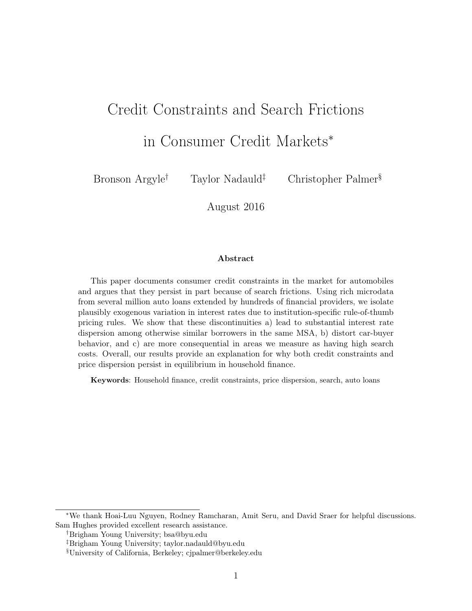# Credit Constraints and Search Frictions

in Consumer Credit Markets<sup>∗</sup>

Bronson Argyle† Taylor Nadauld‡ Christopher Palmer§

August 2016

#### Abstract

This paper documents consumer credit constraints in the market for automobiles and argues that they persist in part because of search frictions. Using rich microdata from several million auto loans extended by hundreds of financial providers, we isolate plausibly exogenous variation in interest rates due to institution-specific rule-of-thumb pricing rules. We show that these discontinuities a) lead to substantial interest rate dispersion among otherwise similar borrowers in the same MSA, b) distort car-buyer behavior, and c) are more consequential in areas we measure as having high search costs. Overall, our results provide an explanation for why both credit constraints and price dispersion persist in equilibrium in household finance.

Keywords: Household finance, credit constraints, price dispersion, search, auto loans

<sup>∗</sup>We thank Hoai-Luu Nguyen, Rodney Ramcharan, Amit Seru, and David Sraer for helpful discussions. Sam Hughes provided excellent research assistance.

<sup>†</sup>Brigham Young University; bsa@byu.edu

<sup>‡</sup>Brigham Young University; taylor.nadauld@byu.edu

<sup>§</sup>University of California, Berkeley; cjpalmer@berkeley.edu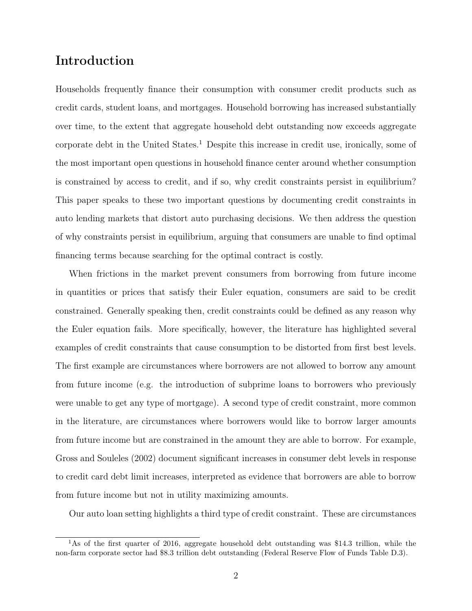# Introduction

Households frequently finance their consumption with consumer credit products such as credit cards, student loans, and mortgages. Household borrowing has increased substantially over time, to the extent that aggregate household debt outstanding now exceeds aggregate corporate debt in the United States.<sup>1</sup> Despite this increase in credit use, ironically, some of the most important open questions in household finance center around whether consumption is constrained by access to credit, and if so, why credit constraints persist in equilibrium? This paper speaks to these two important questions by documenting credit constraints in auto lending markets that distort auto purchasing decisions. We then address the question of why constraints persist in equilibrium, arguing that consumers are unable to find optimal financing terms because searching for the optimal contract is costly.

When frictions in the market prevent consumers from borrowing from future income in quantities or prices that satisfy their Euler equation, consumers are said to be credit constrained. Generally speaking then, credit constraints could be defined as any reason why the Euler equation fails. More specifically, however, the literature has highlighted several examples of credit constraints that cause consumption to be distorted from first best levels. The first example are circumstances where borrowers are not allowed to borrow any amount from future income (e.g. the introduction of subprime loans to borrowers who previously were unable to get any type of mortgage). A second type of credit constraint, more common in the literature, are circumstances where borrowers would like to borrow larger amounts from future income but are constrained in the amount they are able to borrow. For example, Gross and Souleles (2002) document significant increases in consumer debt levels in response to credit card debt limit increases, interpreted as evidence that borrowers are able to borrow from future income but not in utility maximizing amounts.

Our auto loan setting highlights a third type of credit constraint. These are circumstances

<sup>&</sup>lt;sup>1</sup>As of the first quarter of 2016, aggregate household debt outstanding was \$14.3 trillion, while the non-farm corporate sector had \$8.3 trillion debt outstanding (Federal Reserve Flow of Funds Table D.3).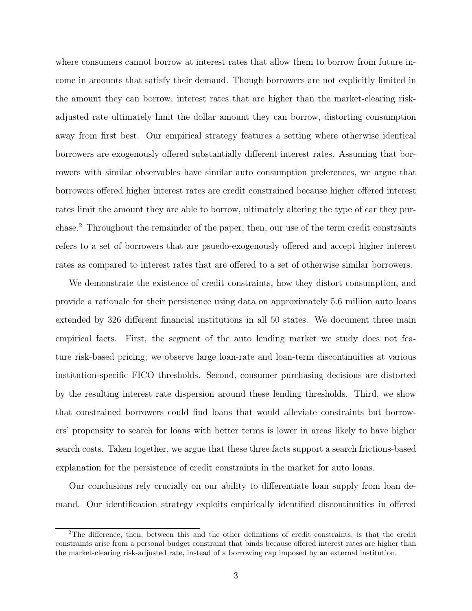where consumers cannot borrow at interest rates that allow them to borrow from future income in amounts that satisfy their demand. Though borrowers are not explicitly limited in the amount they can borrow, interest rates that are higher than the market-clearing riskadjusted rate ultimately limit the dollar amount they can borrow, distorting consumption away from first best. Our empirical strategy features a setting where otherwise identical borrowers are exogenously offered substantially different interest rates. Assuming that borrowers with similar observables have similar auto consumption preferences, we argue that borrowers offered higher interest rates are credit constrained because higher offered interest rates limit the amount they are able to borrow, ultimately altering the type of car they purchase.<sup>2</sup> Throughout the remainder of the paper, then, our use of the term credit constraints refers to a set of borrowers that are psuedo-exogenously offered and accept higher interest rates as compared to interest rates that are offered to a set of otherwise similar borrowers.

We demonstrate the existence of credit constraints, how they distort consumption, and provide a rationale for their persistence using data on approximately 5.6 million auto loans extended by 326 different financial institutions in all 50 states. We document three main empirical facts. First, the segment of the auto lending market we study does not feature risk-based pricing; we observe large loan-rate and loan-term discontinuities at various institution-specific FICO thresholds. Second, consumer purchasing decisions are distorted by the resulting interest rate dispersion around these lending thresholds. Third, we show that constrained borrowers could find loans that would alleviate constraints but borrowers' propensity to search for loans with better terms is lower in areas likely to have higher search costs. Taken together, we argue that these three facts support a search frictions-based explanation for the persistence of credit constraints in the market for auto loans.

Our conclusions rely crucially on our ability to differentiate loan supply from loan demand. Our identification strategy exploits empirically identified discontinuities in offered

<sup>2</sup>The difference, then, between this and the other definitions of credit constraints, is that the credit constraints arise from a personal budget constraint that binds because offered interest rates are higher than the market-clearing risk-adjusted rate, instead of a borrowing cap imposed by an external institution.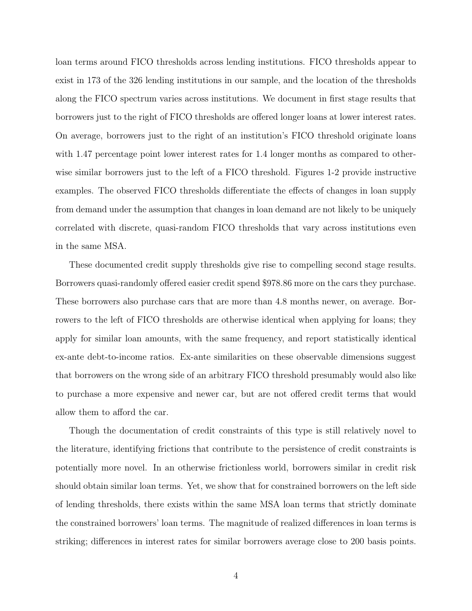loan terms around FICO thresholds across lending institutions. FICO thresholds appear to exist in 173 of the 326 lending institutions in our sample, and the location of the thresholds along the FICO spectrum varies across institutions. We document in first stage results that borrowers just to the right of FICO thresholds are offered longer loans at lower interest rates. On average, borrowers just to the right of an institution's FICO threshold originate loans with 1.47 percentage point lower interest rates for 1.4 longer months as compared to otherwise similar borrowers just to the left of a FICO threshold. Figures 1-2 provide instructive examples. The observed FICO thresholds differentiate the effects of changes in loan supply from demand under the assumption that changes in loan demand are not likely to be uniquely correlated with discrete, quasi-random FICO thresholds that vary across institutions even in the same MSA.

These documented credit supply thresholds give rise to compelling second stage results. Borrowers quasi-randomly offered easier credit spend \$978.86 more on the cars they purchase. These borrowers also purchase cars that are more than 4.8 months newer, on average. Borrowers to the left of FICO thresholds are otherwise identical when applying for loans; they apply for similar loan amounts, with the same frequency, and report statistically identical ex-ante debt-to-income ratios. Ex-ante similarities on these observable dimensions suggest that borrowers on the wrong side of an arbitrary FICO threshold presumably would also like to purchase a more expensive and newer car, but are not offered credit terms that would allow them to afford the car.

Though the documentation of credit constraints of this type is still relatively novel to the literature, identifying frictions that contribute to the persistence of credit constraints is potentially more novel. In an otherwise frictionless world, borrowers similar in credit risk should obtain similar loan terms. Yet, we show that for constrained borrowers on the left side of lending thresholds, there exists within the same MSA loan terms that strictly dominate the constrained borrowers' loan terms. The magnitude of realized differences in loan terms is striking; differences in interest rates for similar borrowers average close to 200 basis points.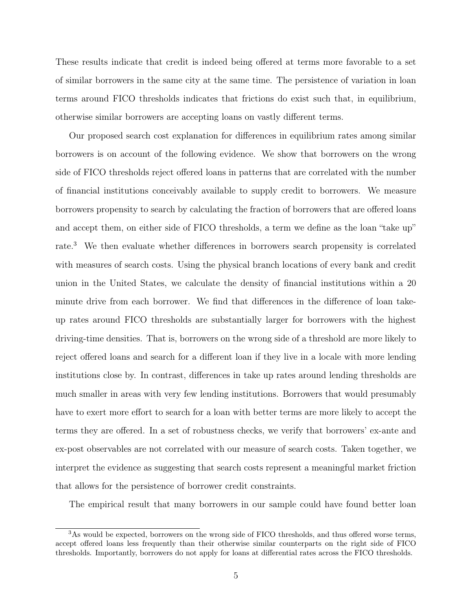These results indicate that credit is indeed being offered at terms more favorable to a set of similar borrowers in the same city at the same time. The persistence of variation in loan terms around FICO thresholds indicates that frictions do exist such that, in equilibrium, otherwise similar borrowers are accepting loans on vastly different terms.

Our proposed search cost explanation for differences in equilibrium rates among similar borrowers is on account of the following evidence. We show that borrowers on the wrong side of FICO thresholds reject offered loans in patterns that are correlated with the number of financial institutions conceivably available to supply credit to borrowers. We measure borrowers propensity to search by calculating the fraction of borrowers that are offered loans and accept them, on either side of FICO thresholds, a term we define as the loan "take up" rate.<sup>3</sup> We then evaluate whether differences in borrowers search propensity is correlated with measures of search costs. Using the physical branch locations of every bank and credit union in the United States, we calculate the density of financial institutions within a 20 minute drive from each borrower. We find that differences in the difference of loan takeup rates around FICO thresholds are substantially larger for borrowers with the highest driving-time densities. That is, borrowers on the wrong side of a threshold are more likely to reject offered loans and search for a different loan if they live in a locale with more lending institutions close by. In contrast, differences in take up rates around lending thresholds are much smaller in areas with very few lending institutions. Borrowers that would presumably have to exert more effort to search for a loan with better terms are more likely to accept the terms they are offered. In a set of robustness checks, we verify that borrowers' ex-ante and ex-post observables are not correlated with our measure of search costs. Taken together, we interpret the evidence as suggesting that search costs represent a meaningful market friction that allows for the persistence of borrower credit constraints.

The empirical result that many borrowers in our sample could have found better loan

<sup>3</sup>As would be expected, borrowers on the wrong side of FICO thresholds, and thus offered worse terms, accept offered loans less frequently than their otherwise similar counterparts on the right side of FICO thresholds. Importantly, borrowers do not apply for loans at differential rates across the FICO thresholds.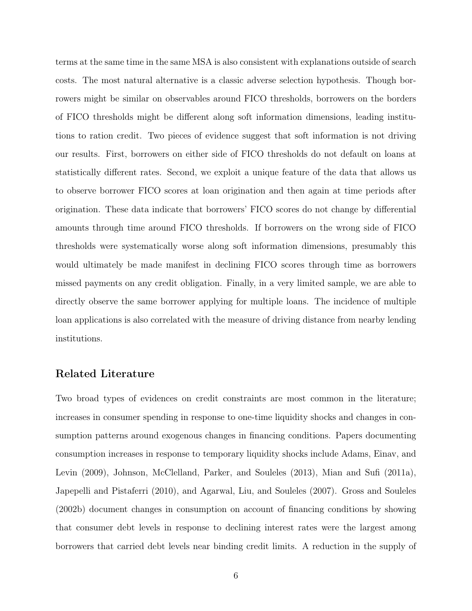terms at the same time in the same MSA is also consistent with explanations outside of search costs. The most natural alternative is a classic adverse selection hypothesis. Though borrowers might be similar on observables around FICO thresholds, borrowers on the borders of FICO thresholds might be different along soft information dimensions, leading institutions to ration credit. Two pieces of evidence suggest that soft information is not driving our results. First, borrowers on either side of FICO thresholds do not default on loans at statistically different rates. Second, we exploit a unique feature of the data that allows us to observe borrower FICO scores at loan origination and then again at time periods after origination. These data indicate that borrowers' FICO scores do not change by differential amounts through time around FICO thresholds. If borrowers on the wrong side of FICO thresholds were systematically worse along soft information dimensions, presumably this would ultimately be made manifest in declining FICO scores through time as borrowers missed payments on any credit obligation. Finally, in a very limited sample, we are able to directly observe the same borrower applying for multiple loans. The incidence of multiple loan applications is also correlated with the measure of driving distance from nearby lending institutions.

## Related Literature

Two broad types of evidences on credit constraints are most common in the literature; increases in consumer spending in response to one-time liquidity shocks and changes in consumption patterns around exogenous changes in financing conditions. Papers documenting consumption increases in response to temporary liquidity shocks include Adams, Einav, and Levin (2009), Johnson, McClelland, Parker, and Souleles (2013), Mian and Sufi (2011a), Japepelli and Pistaferri (2010), and Agarwal, Liu, and Souleles (2007). Gross and Souleles (2002b) document changes in consumption on account of financing conditions by showing that consumer debt levels in response to declining interest rates were the largest among borrowers that carried debt levels near binding credit limits. A reduction in the supply of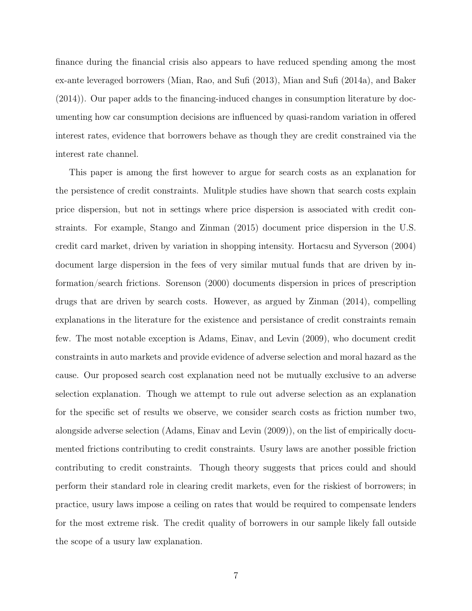finance during the financial crisis also appears to have reduced spending among the most ex-ante leveraged borrowers (Mian, Rao, and Sufi (2013), Mian and Sufi (2014a), and Baker (2014)). Our paper adds to the financing-induced changes in consumption literature by documenting how car consumption decisions are influenced by quasi-random variation in offered interest rates, evidence that borrowers behave as though they are credit constrained via the interest rate channel.

This paper is among the first however to argue for search costs as an explanation for the persistence of credit constraints. Mulitple studies have shown that search costs explain price dispersion, but not in settings where price dispersion is associated with credit constraints. For example, Stango and Zinman (2015) document price dispersion in the U.S. credit card market, driven by variation in shopping intensity. Hortacsu and Syverson (2004) document large dispersion in the fees of very similar mutual funds that are driven by information/search frictions. Sorenson (2000) documents dispersion in prices of prescription drugs that are driven by search costs. However, as argued by Zinman (2014), compelling explanations in the literature for the existence and persistance of credit constraints remain few. The most notable exception is Adams, Einav, and Levin (2009), who document credit constraints in auto markets and provide evidence of adverse selection and moral hazard as the cause. Our proposed search cost explanation need not be mutually exclusive to an adverse selection explanation. Though we attempt to rule out adverse selection as an explanation for the specific set of results we observe, we consider search costs as friction number two, alongside adverse selection (Adams, Einav and Levin (2009)), on the list of empirically documented frictions contributing to credit constraints. Usury laws are another possible friction contributing to credit constraints. Though theory suggests that prices could and should perform their standard role in clearing credit markets, even for the riskiest of borrowers; in practice, usury laws impose a ceiling on rates that would be required to compensate lenders for the most extreme risk. The credit quality of borrowers in our sample likely fall outside the scope of a usury law explanation.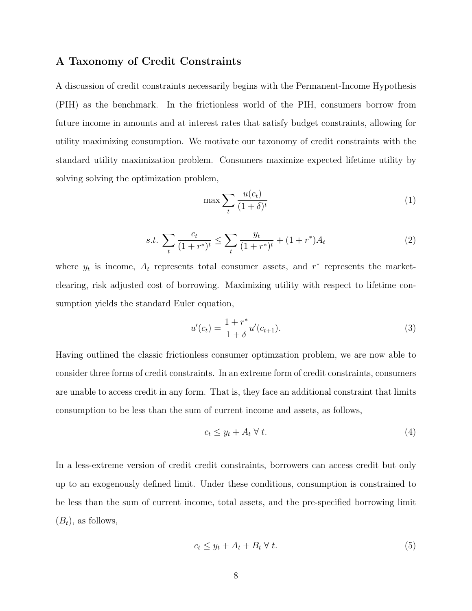#### A Taxonomy of Credit Constraints

A discussion of credit constraints necessarily begins with the Permanent-Income Hypothesis (PIH) as the benchmark. In the frictionless world of the PIH, consumers borrow from future income in amounts and at interest rates that satisfy budget constraints, allowing for utility maximizing consumption. We motivate our taxonomy of credit constraints with the standard utility maximization problem. Consumers maximize expected lifetime utility by solving solving the optimization problem,

$$
\max \sum_{t} \frac{u(c_t)}{(1+\delta)^t} \tag{1}
$$

$$
s.t. \sum_{t} \frac{c_t}{(1+r^*)^t} \le \sum_{t} \frac{y_t}{(1+r^*)^t} + (1+r^*)A_t \tag{2}
$$

where  $y_t$  is income,  $A_t$  represents total consumer assets, and  $r^*$  represents the marketclearing, risk adjusted cost of borrowing. Maximizing utility with respect to lifetime consumption yields the standard Euler equation,

$$
u'(c_t) = \frac{1 + r^*}{1 + \delta} u'(c_{t+1}).
$$
\n(3)

Having outlined the classic frictionless consumer optimzation problem, we are now able to consider three forms of credit constraints. In an extreme form of credit constraints, consumers are unable to access credit in any form. That is, they face an additional constraint that limits consumption to be less than the sum of current income and assets, as follows,

$$
c_t \le y_t + A_t \ \forall \ t. \tag{4}
$$

In a less-extreme version of credit credit constraints, borrowers can access credit but only up to an exogenously defined limit. Under these conditions, consumption is constrained to be less than the sum of current income, total assets, and the pre-specified borrowing limit  $(B_t)$ , as follows,

$$
c_t \le y_t + A_t + B_t \ \forall \ t. \tag{5}
$$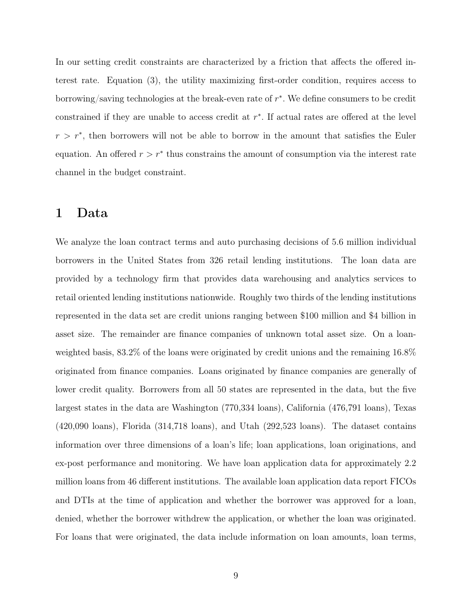In our setting credit constraints are characterized by a friction that affects the offered interest rate. Equation (3), the utility maximizing first-order condition, requires access to borrowing/saving technologies at the break-even rate of  $r^*$ . We define consumers to be credit constrained if they are unable to access credit at  $r^*$ . If actual rates are offered at the level  $r > r^*$ , then borrowers will not be able to borrow in the amount that satisfies the Euler equation. An offered  $r > r^*$  thus constrains the amount of consumption via the interest rate channel in the budget constraint.

## 1 Data

We analyze the loan contract terms and auto purchasing decisions of 5.6 million individual borrowers in the United States from 326 retail lending institutions. The loan data are provided by a technology firm that provides data warehousing and analytics services to retail oriented lending institutions nationwide. Roughly two thirds of the lending institutions represented in the data set are credit unions ranging between \$100 million and \$4 billion in asset size. The remainder are finance companies of unknown total asset size. On a loanweighted basis, 83.2% of the loans were originated by credit unions and the remaining 16.8% originated from finance companies. Loans originated by finance companies are generally of lower credit quality. Borrowers from all 50 states are represented in the data, but the five largest states in the data are Washington (770,334 loans), California (476,791 loans), Texas (420,090 loans), Florida (314,718 loans), and Utah (292,523 loans). The dataset contains information over three dimensions of a loan's life; loan applications, loan originations, and ex-post performance and monitoring. We have loan application data for approximately 2.2 million loans from 46 different institutions. The available loan application data report FICOs and DTIs at the time of application and whether the borrower was approved for a loan, denied, whether the borrower withdrew the application, or whether the loan was originated. For loans that were originated, the data include information on loan amounts, loan terms,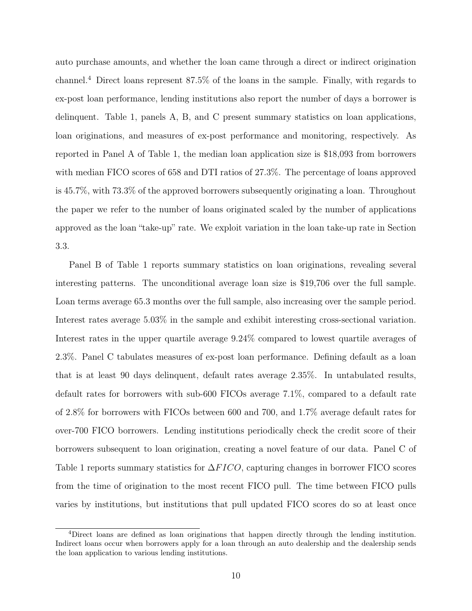auto purchase amounts, and whether the loan came through a direct or indirect origination channel.<sup>4</sup> Direct loans represent 87.5% of the loans in the sample. Finally, with regards to ex-post loan performance, lending institutions also report the number of days a borrower is delinquent. Table 1, panels A, B, and C present summary statistics on loan applications, loan originations, and measures of ex-post performance and monitoring, respectively. As reported in Panel A of Table 1, the median loan application size is \$18,093 from borrowers with median FICO scores of 658 and DTI ratios of 27.3%. The percentage of loans approved is 45.7%, with 73.3% of the approved borrowers subsequently originating a loan. Throughout the paper we refer to the number of loans originated scaled by the number of applications approved as the loan "take-up" rate. We exploit variation in the loan take-up rate in Section 3.3.

Panel B of Table 1 reports summary statistics on loan originations, revealing several interesting patterns. The unconditional average loan size is \$19,706 over the full sample. Loan terms average 65.3 months over the full sample, also increasing over the sample period. Interest rates average 5.03% in the sample and exhibit interesting cross-sectional variation. Interest rates in the upper quartile average 9.24% compared to lowest quartile averages of 2.3%. Panel C tabulates measures of ex-post loan performance. Defining default as a loan that is at least 90 days delinquent, default rates average 2.35%. In untabulated results, default rates for borrowers with sub-600 FICOs average 7.1%, compared to a default rate of 2.8% for borrowers with FICOs between 600 and 700, and 1.7% average default rates for over-700 FICO borrowers. Lending institutions periodically check the credit score of their borrowers subsequent to loan origination, creating a novel feature of our data. Panel C of Table 1 reports summary statistics for  $\Delta FICO$ , capturing changes in borrower FICO scores from the time of origination to the most recent FICO pull. The time between FICO pulls varies by institutions, but institutions that pull updated FICO scores do so at least once

<sup>4</sup>Direct loans are defined as loan originations that happen directly through the lending institution. Indirect loans occur when borrowers apply for a loan through an auto dealership and the dealership sends the loan application to various lending institutions.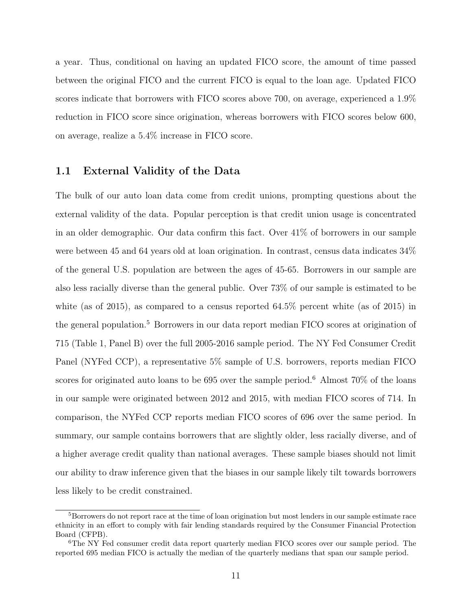a year. Thus, conditional on having an updated FICO score, the amount of time passed between the original FICO and the current FICO is equal to the loan age. Updated FICO scores indicate that borrowers with FICO scores above 700, on average, experienced a 1.9% reduction in FICO score since origination, whereas borrowers with FICO scores below 600, on average, realize a 5.4% increase in FICO score.

### 1.1 External Validity of the Data

The bulk of our auto loan data come from credit unions, prompting questions about the external validity of the data. Popular perception is that credit union usage is concentrated in an older demographic. Our data confirm this fact. Over 41% of borrowers in our sample were between 45 and 64 years old at loan origination. In contrast, census data indicates 34% of the general U.S. population are between the ages of 45-65. Borrowers in our sample are also less racially diverse than the general public. Over 73% of our sample is estimated to be white (as of 2015), as compared to a census reported  $64.5\%$  percent white (as of 2015) in the general population.<sup>5</sup> Borrowers in our data report median FICO scores at origination of 715 (Table 1, Panel B) over the full 2005-2016 sample period. The NY Fed Consumer Credit Panel (NYFed CCP), a representative 5% sample of U.S. borrowers, reports median FICO scores for originated auto loans to be 695 over the sample period.<sup>6</sup> Almost  $70\%$  of the loans in our sample were originated between 2012 and 2015, with median FICO scores of 714. In comparison, the NYFed CCP reports median FICO scores of 696 over the same period. In summary, our sample contains borrowers that are slightly older, less racially diverse, and of a higher average credit quality than national averages. These sample biases should not limit our ability to draw inference given that the biases in our sample likely tilt towards borrowers less likely to be credit constrained.

<sup>&</sup>lt;sup>5</sup>Borrowers do not report race at the time of loan origination but most lenders in our sample estimate race ethnicity in an effort to comply with fair lending standards required by the Consumer Financial Protection Board (CFPB).

<sup>&</sup>lt;sup>6</sup>The NY Fed consumer credit data report quarterly median FICO scores over our sample period. The reported 695 median FICO is actually the median of the quarterly medians that span our sample period.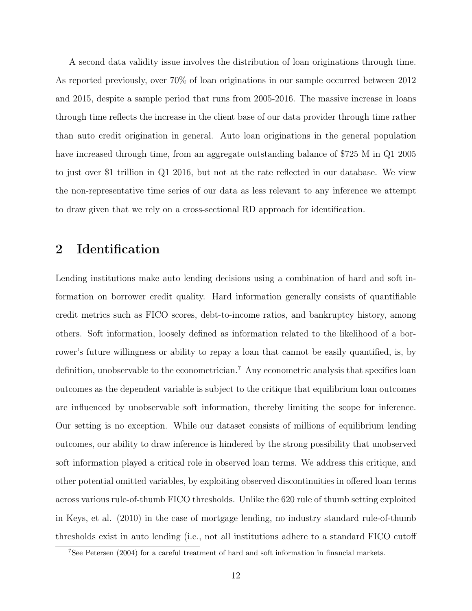A second data validity issue involves the distribution of loan originations through time. As reported previously, over 70% of loan originations in our sample occurred between 2012 and 2015, despite a sample period that runs from 2005-2016. The massive increase in loans through time reflects the increase in the client base of our data provider through time rather than auto credit origination in general. Auto loan originations in the general population have increased through time, from an aggregate outstanding balance of \$725 M in Q1 2005 to just over \$1 trillion in Q1 2016, but not at the rate reflected in our database. We view the non-representative time series of our data as less relevant to any inference we attempt to draw given that we rely on a cross-sectional RD approach for identification.

# 2 Identification

Lending institutions make auto lending decisions using a combination of hard and soft information on borrower credit quality. Hard information generally consists of quantifiable credit metrics such as FICO scores, debt-to-income ratios, and bankruptcy history, among others. Soft information, loosely defined as information related to the likelihood of a borrower's future willingness or ability to repay a loan that cannot be easily quantified, is, by definition, unobservable to the econometrician.<sup>7</sup> Any econometric analysis that specifies loan outcomes as the dependent variable is subject to the critique that equilibrium loan outcomes are influenced by unobservable soft information, thereby limiting the scope for inference. Our setting is no exception. While our dataset consists of millions of equilibrium lending outcomes, our ability to draw inference is hindered by the strong possibility that unobserved soft information played a critical role in observed loan terms. We address this critique, and other potential omitted variables, by exploiting observed discontinuities in offered loan terms across various rule-of-thumb FICO thresholds. Unlike the 620 rule of thumb setting exploited in Keys, et al. (2010) in the case of mortgage lending, no industry standard rule-of-thumb thresholds exist in auto lending (i.e., not all institutions adhere to a standard FICO cutoff

<sup>7</sup>See Petersen (2004) for a careful treatment of hard and soft information in financial markets.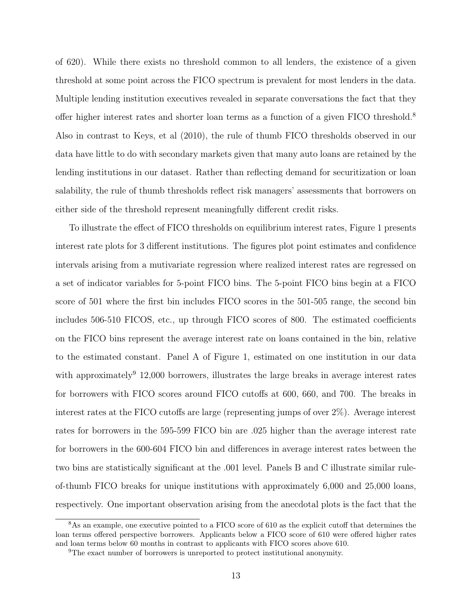of 620). While there exists no threshold common to all lenders, the existence of a given threshold at some point across the FICO spectrum is prevalent for most lenders in the data. Multiple lending institution executives revealed in separate conversations the fact that they offer higher interest rates and shorter loan terms as a function of a given FICO threshold.<sup>8</sup> Also in contrast to Keys, et al (2010), the rule of thumb FICO thresholds observed in our data have little to do with secondary markets given that many auto loans are retained by the lending institutions in our dataset. Rather than reflecting demand for securitization or loan salability, the rule of thumb thresholds reflect risk managers' assessments that borrowers on either side of the threshold represent meaningfully different credit risks.

To illustrate the effect of FICO thresholds on equilibrium interest rates, Figure 1 presents interest rate plots for 3 different institutions. The figures plot point estimates and confidence intervals arising from a mutivariate regression where realized interest rates are regressed on a set of indicator variables for 5-point FICO bins. The 5-point FICO bins begin at a FICO score of 501 where the first bin includes FICO scores in the 501-505 range, the second bin includes 506-510 FICOS, etc., up through FICO scores of 800. The estimated coefficients on the FICO bins represent the average interest rate on loans contained in the bin, relative to the estimated constant. Panel A of Figure 1, estimated on one institution in our data with approximately<sup>9</sup> 12,000 borrowers, illustrates the large breaks in average interest rates for borrowers with FICO scores around FICO cutoffs at 600, 660, and 700. The breaks in interest rates at the FICO cutoffs are large (representing jumps of over 2%). Average interest rates for borrowers in the 595-599 FICO bin are .025 higher than the average interest rate for borrowers in the 600-604 FICO bin and differences in average interest rates between the two bins are statistically significant at the .001 level. Panels B and C illustrate similar ruleof-thumb FICO breaks for unique institutions with approximately 6,000 and 25,000 loans, respectively. One important observation arising from the anecdotal plots is the fact that the

<sup>8</sup>As an example, one executive pointed to a FICO score of 610 as the explicit cutoff that determines the loan terms offered perspective borrowers. Applicants below a FICO score of 610 were offered higher rates and loan terms below 60 months in contrast to applicants with FICO scores above 610.

<sup>&</sup>lt;sup>9</sup>The exact number of borrowers is unreported to protect institutional anonymity.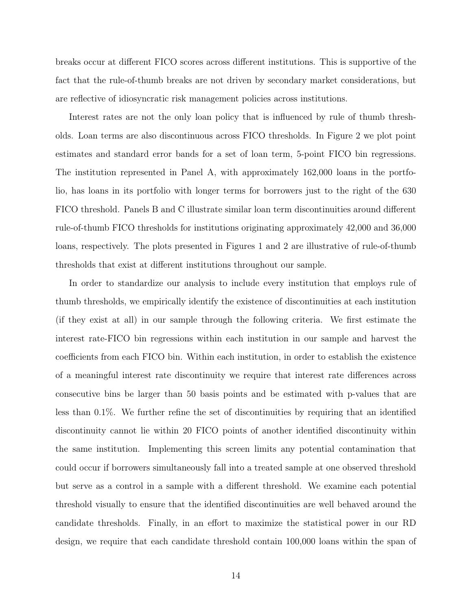breaks occur at different FICO scores across different institutions. This is supportive of the fact that the rule-of-thumb breaks are not driven by secondary market considerations, but are reflective of idiosyncratic risk management policies across institutions.

Interest rates are not the only loan policy that is influenced by rule of thumb thresholds. Loan terms are also discontinuous across FICO thresholds. In Figure 2 we plot point estimates and standard error bands for a set of loan term, 5-point FICO bin regressions. The institution represented in Panel A, with approximately 162,000 loans in the portfolio, has loans in its portfolio with longer terms for borrowers just to the right of the 630 FICO threshold. Panels B and C illustrate similar loan term discontinuities around different rule-of-thumb FICO thresholds for institutions originating approximately 42,000 and 36,000 loans, respectively. The plots presented in Figures 1 and 2 are illustrative of rule-of-thumb thresholds that exist at different institutions throughout our sample.

In order to standardize our analysis to include every institution that employs rule of thumb thresholds, we empirically identify the existence of discontinuities at each institution (if they exist at all) in our sample through the following criteria. We first estimate the interest rate-FICO bin regressions within each institution in our sample and harvest the coefficients from each FICO bin. Within each institution, in order to establish the existence of a meaningful interest rate discontinuity we require that interest rate differences across consecutive bins be larger than 50 basis points and be estimated with p-values that are less than 0.1%. We further refine the set of discontinuities by requiring that an identified discontinuity cannot lie within 20 FICO points of another identified discontinuity within the same institution. Implementing this screen limits any potential contamination that could occur if borrowers simultaneously fall into a treated sample at one observed threshold but serve as a control in a sample with a different threshold. We examine each potential threshold visually to ensure that the identified discontinuities are well behaved around the candidate thresholds. Finally, in an effort to maximize the statistical power in our RD design, we require that each candidate threshold contain 100,000 loans within the span of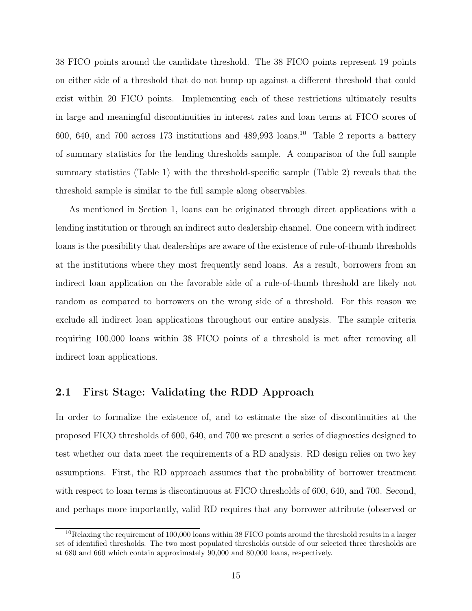38 FICO points around the candidate threshold. The 38 FICO points represent 19 points on either side of a threshold that do not bump up against a different threshold that could exist within 20 FICO points. Implementing each of these restrictions ultimately results in large and meaningful discontinuities in interest rates and loan terms at FICO scores of 600, 640, and 700 across 173 institutions and  $489,993$  loans.<sup>10</sup> Table 2 reports a battery of summary statistics for the lending thresholds sample. A comparison of the full sample summary statistics (Table 1) with the threshold-specific sample (Table 2) reveals that the threshold sample is similar to the full sample along observables.

As mentioned in Section 1, loans can be originated through direct applications with a lending institution or through an indirect auto dealership channel. One concern with indirect loans is the possibility that dealerships are aware of the existence of rule-of-thumb thresholds at the institutions where they most frequently send loans. As a result, borrowers from an indirect loan application on the favorable side of a rule-of-thumb threshold are likely not random as compared to borrowers on the wrong side of a threshold. For this reason we exclude all indirect loan applications throughout our entire analysis. The sample criteria requiring 100,000 loans within 38 FICO points of a threshold is met after removing all indirect loan applications.

### 2.1 First Stage: Validating the RDD Approach

In order to formalize the existence of, and to estimate the size of discontinuities at the proposed FICO thresholds of 600, 640, and 700 we present a series of diagnostics designed to test whether our data meet the requirements of a RD analysis. RD design relies on two key assumptions. First, the RD approach assumes that the probability of borrower treatment with respect to loan terms is discontinuous at FICO thresholds of 600, 640, and 700. Second, and perhaps more importantly, valid RD requires that any borrower attribute (observed or

 $10$ Relaxing the requirement of 100,000 loans within 38 FICO points around the threshold results in a larger set of identified thresholds. The two most populated thresholds outside of our selected three thresholds are at 680 and 660 which contain approximately 90,000 and 80,000 loans, respectively.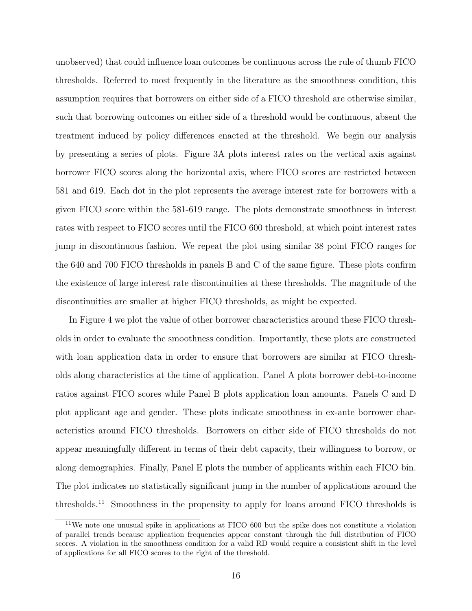unobserved) that could influence loan outcomes be continuous across the rule of thumb FICO thresholds. Referred to most frequently in the literature as the smoothness condition, this assumption requires that borrowers on either side of a FICO threshold are otherwise similar, such that borrowing outcomes on either side of a threshold would be continuous, absent the treatment induced by policy differences enacted at the threshold. We begin our analysis by presenting a series of plots. Figure 3A plots interest rates on the vertical axis against borrower FICO scores along the horizontal axis, where FICO scores are restricted between 581 and 619. Each dot in the plot represents the average interest rate for borrowers with a given FICO score within the 581-619 range. The plots demonstrate smoothness in interest rates with respect to FICO scores until the FICO 600 threshold, at which point interest rates jump in discontinuous fashion. We repeat the plot using similar 38 point FICO ranges for the 640 and 700 FICO thresholds in panels B and C of the same figure. These plots confirm the existence of large interest rate discontinuities at these thresholds. The magnitude of the discontinuities are smaller at higher FICO thresholds, as might be expected.

In Figure 4 we plot the value of other borrower characteristics around these FICO thresholds in order to evaluate the smoothness condition. Importantly, these plots are constructed with loan application data in order to ensure that borrowers are similar at FICO thresholds along characteristics at the time of application. Panel A plots borrower debt-to-income ratios against FICO scores while Panel B plots application loan amounts. Panels C and D plot applicant age and gender. These plots indicate smoothness in ex-ante borrower characteristics around FICO thresholds. Borrowers on either side of FICO thresholds do not appear meaningfully different in terms of their debt capacity, their willingness to borrow, or along demographics. Finally, Panel E plots the number of applicants within each FICO bin. The plot indicates no statistically significant jump in the number of applications around the thresholds.<sup>11</sup> Smoothness in the propensity to apply for loans around FICO thresholds is

<sup>11</sup>We note one unusual spike in applications at FICO 600 but the spike does not constitute a violation of parallel trends because application frequencies appear constant through the full distribution of FICO scores. A violation in the smoothness condition for a valid RD would require a consistent shift in the level of applications for all FICO scores to the right of the threshold.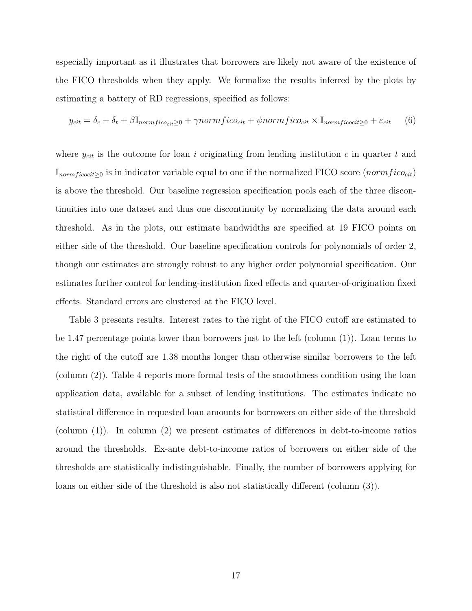especially important as it illustrates that borrowers are likely not aware of the existence of the FICO thresholds when they apply. We formalize the results inferred by the plots by estimating a battery of RD regressions, specified as follows:

$$
y_{cit} = \delta_c + \delta_t + \beta \mathbb{I}_{normfico_{cit} \geq 0} + \gamma normfico_{cit} + \psi normfico_{cit} \times \mathbb{I}_{normficocit \geq 0} + \varepsilon_{cit} \tag{6}
$$

where  $y_{cit}$  is the outcome for loan i originating from lending institution c in quarter t and  $\mathbb{I}_{normficocit\geq0}$  is in indicator variable equal to one if the normalized FICO score (norm $fico_{cit}$ ) is above the threshold. Our baseline regression specification pools each of the three discontinuities into one dataset and thus one discontinuity by normalizing the data around each threshold. As in the plots, our estimate bandwidths are specified at 19 FICO points on either side of the threshold. Our baseline specification controls for polynomials of order 2, though our estimates are strongly robust to any higher order polynomial specification. Our estimates further control for lending-institution fixed effects and quarter-of-origination fixed effects. Standard errors are clustered at the FICO level.

Table 3 presents results. Interest rates to the right of the FICO cutoff are estimated to be 1.47 percentage points lower than borrowers just to the left (column (1)). Loan terms to the right of the cutoff are 1.38 months longer than otherwise similar borrowers to the left (column (2)). Table 4 reports more formal tests of the smoothness condition using the loan application data, available for a subset of lending institutions. The estimates indicate no statistical difference in requested loan amounts for borrowers on either side of the threshold (column (1)). In column (2) we present estimates of differences in debt-to-income ratios around the thresholds. Ex-ante debt-to-income ratios of borrowers on either side of the thresholds are statistically indistinguishable. Finally, the number of borrowers applying for loans on either side of the threshold is also not statistically different (column (3)).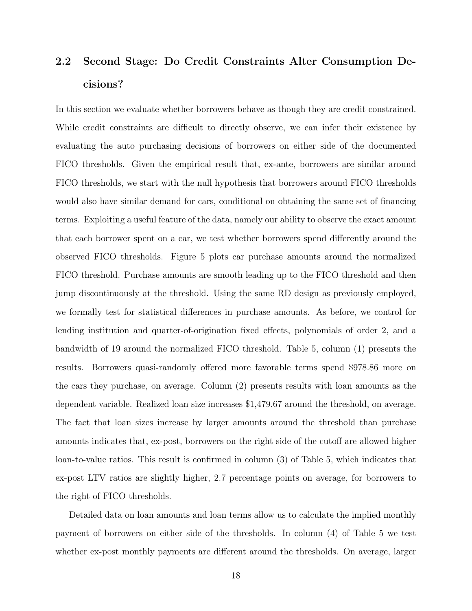# 2.2 Second Stage: Do Credit Constraints Alter Consumption Decisions?

In this section we evaluate whether borrowers behave as though they are credit constrained. While credit constraints are difficult to directly observe, we can infer their existence by evaluating the auto purchasing decisions of borrowers on either side of the documented FICO thresholds. Given the empirical result that, ex-ante, borrowers are similar around FICO thresholds, we start with the null hypothesis that borrowers around FICO thresholds would also have similar demand for cars, conditional on obtaining the same set of financing terms. Exploiting a useful feature of the data, namely our ability to observe the exact amount that each borrower spent on a car, we test whether borrowers spend differently around the observed FICO thresholds. Figure 5 plots car purchase amounts around the normalized FICO threshold. Purchase amounts are smooth leading up to the FICO threshold and then jump discontinuously at the threshold. Using the same RD design as previously employed, we formally test for statistical differences in purchase amounts. As before, we control for lending institution and quarter-of-origination fixed effects, polynomials of order 2, and a bandwidth of 19 around the normalized FICO threshold. Table 5, column (1) presents the results. Borrowers quasi-randomly offered more favorable terms spend \$978.86 more on the cars they purchase, on average. Column (2) presents results with loan amounts as the dependent variable. Realized loan size increases \$1,479.67 around the threshold, on average. The fact that loan sizes increase by larger amounts around the threshold than purchase amounts indicates that, ex-post, borrowers on the right side of the cutoff are allowed higher loan-to-value ratios. This result is confirmed in column (3) of Table 5, which indicates that ex-post LTV ratios are slightly higher, 2.7 percentage points on average, for borrowers to the right of FICO thresholds.

Detailed data on loan amounts and loan terms allow us to calculate the implied monthly payment of borrowers on either side of the thresholds. In column (4) of Table 5 we test whether ex-post monthly payments are different around the thresholds. On average, larger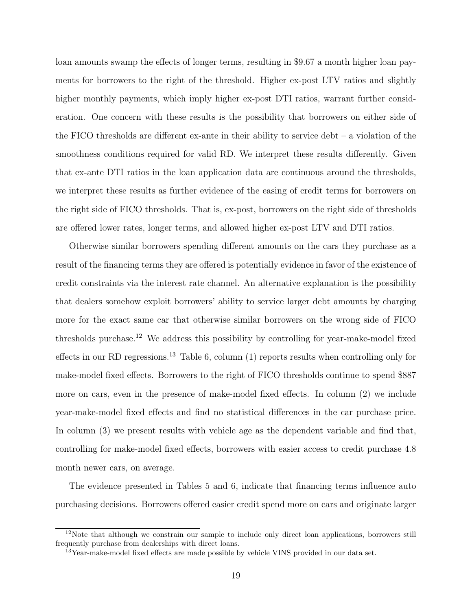loan amounts swamp the effects of longer terms, resulting in \$9.67 a month higher loan payments for borrowers to the right of the threshold. Higher ex-post LTV ratios and slightly higher monthly payments, which imply higher ex-post DTI ratios, warrant further consideration. One concern with these results is the possibility that borrowers on either side of the FICO thresholds are different ex-ante in their ability to service debt – a violation of the smoothness conditions required for valid RD. We interpret these results differently. Given that ex-ante DTI ratios in the loan application data are continuous around the thresholds, we interpret these results as further evidence of the easing of credit terms for borrowers on the right side of FICO thresholds. That is, ex-post, borrowers on the right side of thresholds are offered lower rates, longer terms, and allowed higher ex-post LTV and DTI ratios.

Otherwise similar borrowers spending different amounts on the cars they purchase as a result of the financing terms they are offered is potentially evidence in favor of the existence of credit constraints via the interest rate channel. An alternative explanation is the possibility that dealers somehow exploit borrowers' ability to service larger debt amounts by charging more for the exact same car that otherwise similar borrowers on the wrong side of FICO thresholds purchase.<sup>12</sup> We address this possibility by controlling for year-make-model fixed effects in our RD regressions.<sup>13</sup> Table 6, column  $(1)$  reports results when controlling only for make-model fixed effects. Borrowers to the right of FICO thresholds continue to spend \$887 more on cars, even in the presence of make-model fixed effects. In column (2) we include year-make-model fixed effects and find no statistical differences in the car purchase price. In column (3) we present results with vehicle age as the dependent variable and find that, controlling for make-model fixed effects, borrowers with easier access to credit purchase 4.8 month newer cars, on average.

The evidence presented in Tables 5 and 6, indicate that financing terms influence auto purchasing decisions. Borrowers offered easier credit spend more on cars and originate larger

 $12$ Note that although we constrain our sample to include only direct loan applications, borrowers still frequently purchase from dealerships with direct loans.

 $13$ Year-make-model fixed effects are made possible by vehicle VINS provided in our data set.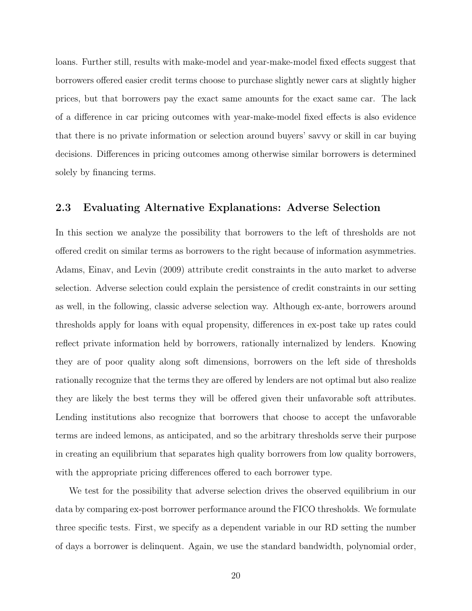loans. Further still, results with make-model and year-make-model fixed effects suggest that borrowers offered easier credit terms choose to purchase slightly newer cars at slightly higher prices, but that borrowers pay the exact same amounts for the exact same car. The lack of a difference in car pricing outcomes with year-make-model fixed effects is also evidence that there is no private information or selection around buyers' savvy or skill in car buying decisions. Differences in pricing outcomes among otherwise similar borrowers is determined solely by financing terms.

### 2.3 Evaluating Alternative Explanations: Adverse Selection

In this section we analyze the possibility that borrowers to the left of thresholds are not offered credit on similar terms as borrowers to the right because of information asymmetries. Adams, Einav, and Levin (2009) attribute credit constraints in the auto market to adverse selection. Adverse selection could explain the persistence of credit constraints in our setting as well, in the following, classic adverse selection way. Although ex-ante, borrowers around thresholds apply for loans with equal propensity, differences in ex-post take up rates could reflect private information held by borrowers, rationally internalized by lenders. Knowing they are of poor quality along soft dimensions, borrowers on the left side of thresholds rationally recognize that the terms they are offered by lenders are not optimal but also realize they are likely the best terms they will be offered given their unfavorable soft attributes. Lending institutions also recognize that borrowers that choose to accept the unfavorable terms are indeed lemons, as anticipated, and so the arbitrary thresholds serve their purpose in creating an equilibrium that separates high quality borrowers from low quality borrowers, with the appropriate pricing differences offered to each borrower type.

We test for the possibility that adverse selection drives the observed equilibrium in our data by comparing ex-post borrower performance around the FICO thresholds. We formulate three specific tests. First, we specify as a dependent variable in our RD setting the number of days a borrower is delinquent. Again, we use the standard bandwidth, polynomial order,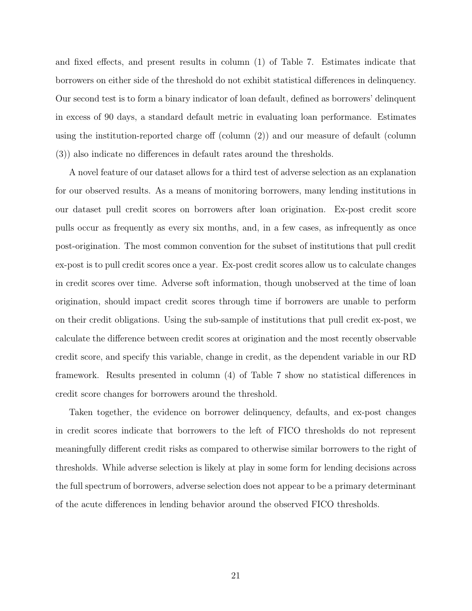and fixed effects, and present results in column (1) of Table 7. Estimates indicate that borrowers on either side of the threshold do not exhibit statistical differences in delinquency. Our second test is to form a binary indicator of loan default, defined as borrowers' delinquent in excess of 90 days, a standard default metric in evaluating loan performance. Estimates using the institution-reported charge off (column (2)) and our measure of default (column (3)) also indicate no differences in default rates around the thresholds.

A novel feature of our dataset allows for a third test of adverse selection as an explanation for our observed results. As a means of monitoring borrowers, many lending institutions in our dataset pull credit scores on borrowers after loan origination. Ex-post credit score pulls occur as frequently as every six months, and, in a few cases, as infrequently as once post-origination. The most common convention for the subset of institutions that pull credit ex-post is to pull credit scores once a year. Ex-post credit scores allow us to calculate changes in credit scores over time. Adverse soft information, though unobserved at the time of loan origination, should impact credit scores through time if borrowers are unable to perform on their credit obligations. Using the sub-sample of institutions that pull credit ex-post, we calculate the difference between credit scores at origination and the most recently observable credit score, and specify this variable, change in credit, as the dependent variable in our RD framework. Results presented in column (4) of Table 7 show no statistical differences in credit score changes for borrowers around the threshold.

Taken together, the evidence on borrower delinquency, defaults, and ex-post changes in credit scores indicate that borrowers to the left of FICO thresholds do not represent meaningfully different credit risks as compared to otherwise similar borrowers to the right of thresholds. While adverse selection is likely at play in some form for lending decisions across the full spectrum of borrowers, adverse selection does not appear to be a primary determinant of the acute differences in lending behavior around the observed FICO thresholds.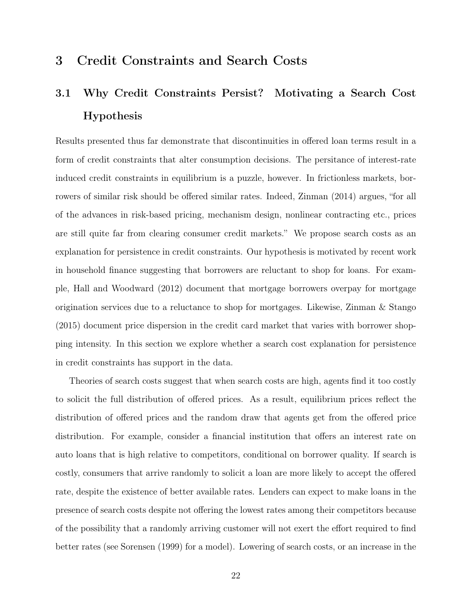## 3 Credit Constraints and Search Costs

# 3.1 Why Credit Constraints Persist? Motivating a Search Cost Hypothesis

Results presented thus far demonstrate that discontinuities in offered loan terms result in a form of credit constraints that alter consumption decisions. The persitance of interest-rate induced credit constraints in equilibrium is a puzzle, however. In frictionless markets, borrowers of similar risk should be offered similar rates. Indeed, Zinman (2014) argues, "for all of the advances in risk-based pricing, mechanism design, nonlinear contracting etc., prices are still quite far from clearing consumer credit markets." We propose search costs as an explanation for persistence in credit constraints. Our hypothesis is motivated by recent work in household finance suggesting that borrowers are reluctant to shop for loans. For example, Hall and Woodward (2012) document that mortgage borrowers overpay for mortgage origination services due to a reluctance to shop for mortgages. Likewise, Zinman & Stango (2015) document price dispersion in the credit card market that varies with borrower shopping intensity. In this section we explore whether a search cost explanation for persistence in credit constraints has support in the data.

Theories of search costs suggest that when search costs are high, agents find it too costly to solicit the full distribution of offered prices. As a result, equilibrium prices reflect the distribution of offered prices and the random draw that agents get from the offered price distribution. For example, consider a financial institution that offers an interest rate on auto loans that is high relative to competitors, conditional on borrower quality. If search is costly, consumers that arrive randomly to solicit a loan are more likely to accept the offered rate, despite the existence of better available rates. Lenders can expect to make loans in the presence of search costs despite not offering the lowest rates among their competitors because of the possibility that a randomly arriving customer will not exert the effort required to find better rates (see Sorensen (1999) for a model). Lowering of search costs, or an increase in the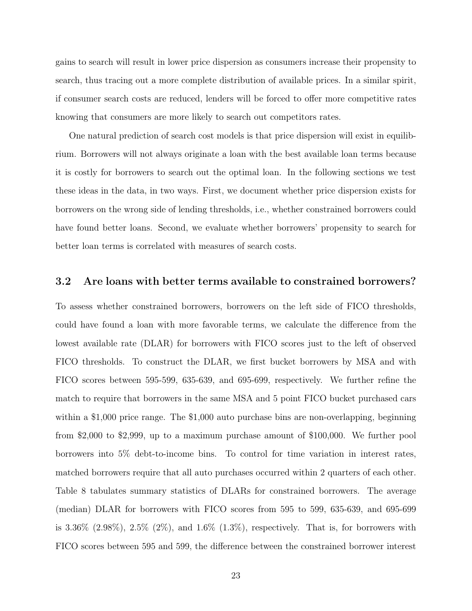gains to search will result in lower price dispersion as consumers increase their propensity to search, thus tracing out a more complete distribution of available prices. In a similar spirit, if consumer search costs are reduced, lenders will be forced to offer more competitive rates knowing that consumers are more likely to search out competitors rates.

One natural prediction of search cost models is that price dispersion will exist in equilibrium. Borrowers will not always originate a loan with the best available loan terms because it is costly for borrowers to search out the optimal loan. In the following sections we test these ideas in the data, in two ways. First, we document whether price dispersion exists for borrowers on the wrong side of lending thresholds, i.e., whether constrained borrowers could have found better loans. Second, we evaluate whether borrowers' propensity to search for better loan terms is correlated with measures of search costs.

#### 3.2 Are loans with better terms available to constrained borrowers?

To assess whether constrained borrowers, borrowers on the left side of FICO thresholds, could have found a loan with more favorable terms, we calculate the difference from the lowest available rate (DLAR) for borrowers with FICO scores just to the left of observed FICO thresholds. To construct the DLAR, we first bucket borrowers by MSA and with FICO scores between 595-599, 635-639, and 695-699, respectively. We further refine the match to require that borrowers in the same MSA and 5 point FICO bucket purchased cars within a \$1,000 price range. The \$1,000 auto purchase bins are non-overlapping, beginning from \$2,000 to \$2,999, up to a maximum purchase amount of \$100,000. We further pool borrowers into 5% debt-to-income bins. To control for time variation in interest rates, matched borrowers require that all auto purchases occurred within 2 quarters of each other. Table 8 tabulates summary statistics of DLARs for constrained borrowers. The average (median) DLAR for borrowers with FICO scores from 595 to 599, 635-639, and 695-699 is 3.36% (2.98%), 2.5% (2%), and 1.6% (1.3%), respectively. That is, for borrowers with FICO scores between 595 and 599, the difference between the constrained borrower interest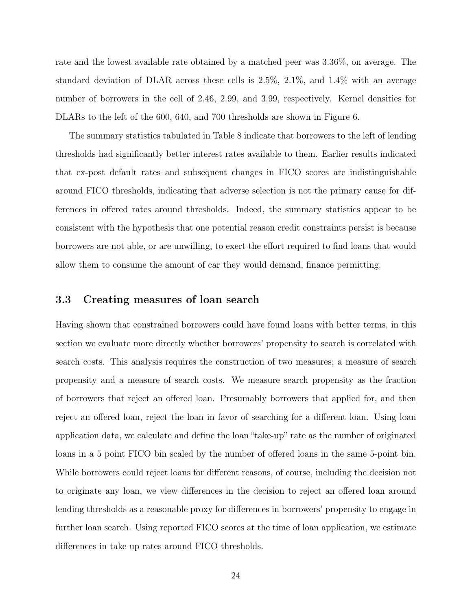rate and the lowest available rate obtained by a matched peer was 3.36%, on average. The standard deviation of DLAR across these cells is 2.5%, 2.1%, and 1.4% with an average number of borrowers in the cell of 2.46, 2.99, and 3.99, respectively. Kernel densities for DLARs to the left of the 600, 640, and 700 thresholds are shown in Figure 6.

The summary statistics tabulated in Table 8 indicate that borrowers to the left of lending thresholds had significantly better interest rates available to them. Earlier results indicated that ex-post default rates and subsequent changes in FICO scores are indistinguishable around FICO thresholds, indicating that adverse selection is not the primary cause for differences in offered rates around thresholds. Indeed, the summary statistics appear to be consistent with the hypothesis that one potential reason credit constraints persist is because borrowers are not able, or are unwilling, to exert the effort required to find loans that would allow them to consume the amount of car they would demand, finance permitting.

#### 3.3 Creating measures of loan search

Having shown that constrained borrowers could have found loans with better terms, in this section we evaluate more directly whether borrowers' propensity to search is correlated with search costs. This analysis requires the construction of two measures; a measure of search propensity and a measure of search costs. We measure search propensity as the fraction of borrowers that reject an offered loan. Presumably borrowers that applied for, and then reject an offered loan, reject the loan in favor of searching for a different loan. Using loan application data, we calculate and define the loan "take-up" rate as the number of originated loans in a 5 point FICO bin scaled by the number of offered loans in the same 5-point bin. While borrowers could reject loans for different reasons, of course, including the decision not to originate any loan, we view differences in the decision to reject an offered loan around lending thresholds as a reasonable proxy for differences in borrowers' propensity to engage in further loan search. Using reported FICO scores at the time of loan application, we estimate differences in take up rates around FICO thresholds.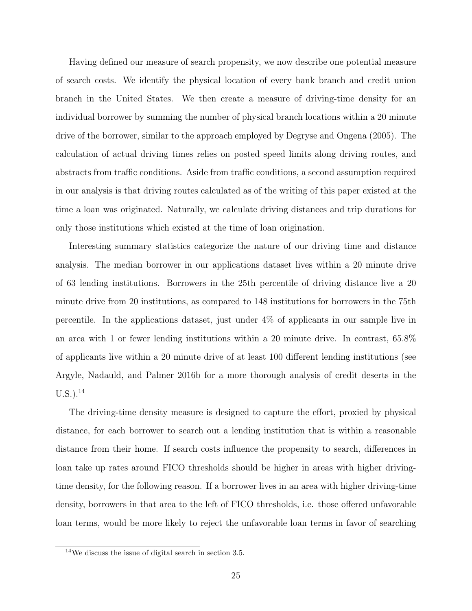Having defined our measure of search propensity, we now describe one potential measure of search costs. We identify the physical location of every bank branch and credit union branch in the United States. We then create a measure of driving-time density for an individual borrower by summing the number of physical branch locations within a 20 minute drive of the borrower, similar to the approach employed by Degryse and Ongena (2005). The calculation of actual driving times relies on posted speed limits along driving routes, and abstracts from traffic conditions. Aside from traffic conditions, a second assumption required in our analysis is that driving routes calculated as of the writing of this paper existed at the time a loan was originated. Naturally, we calculate driving distances and trip durations for only those institutions which existed at the time of loan origination.

Interesting summary statistics categorize the nature of our driving time and distance analysis. The median borrower in our applications dataset lives within a 20 minute drive of 63 lending institutions. Borrowers in the 25th percentile of driving distance live a 20 minute drive from 20 institutions, as compared to 148 institutions for borrowers in the 75th percentile. In the applications dataset, just under 4% of applicants in our sample live in an area with 1 or fewer lending institutions within a 20 minute drive. In contrast, 65.8% of applicants live within a 20 minute drive of at least 100 different lending institutions (see Argyle, Nadauld, and Palmer 2016b for a more thorough analysis of credit deserts in the  $U.S.$ ).<sup>14</sup>

The driving-time density measure is designed to capture the effort, proxied by physical distance, for each borrower to search out a lending institution that is within a reasonable distance from their home. If search costs influence the propensity to search, differences in loan take up rates around FICO thresholds should be higher in areas with higher drivingtime density, for the following reason. If a borrower lives in an area with higher driving-time density, borrowers in that area to the left of FICO thresholds, i.e. those offered unfavorable loan terms, would be more likely to reject the unfavorable loan terms in favor of searching

<sup>14</sup>We discuss the issue of digital search in section 3.5.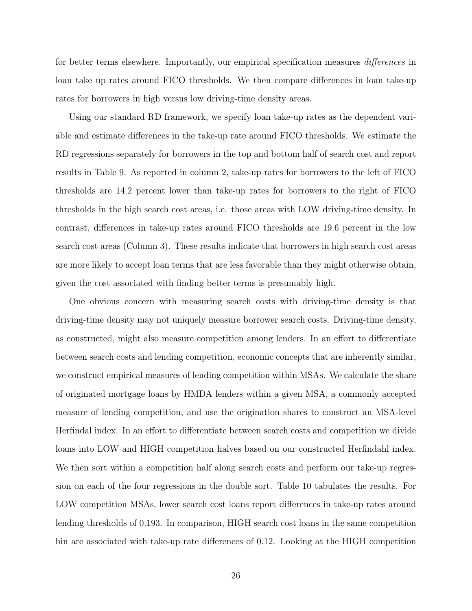for better terms elsewhere. Importantly, our empirical specification measures differences in loan take up rates around FICO thresholds. We then compare differences in loan take-up rates for borrowers in high versus low driving-time density areas.

Using our standard RD framework, we specify loan take-up rates as the dependent variable and estimate differences in the take-up rate around FICO thresholds. We estimate the RD regressions separately for borrowers in the top and bottom half of search cost and report results in Table 9. As reported in column 2, take-up rates for borrowers to the left of FICO thresholds are 14.2 percent lower than take-up rates for borrowers to the right of FICO thresholds in the high search cost areas, i.e. those areas with LOW driving-time density. In contrast, differences in take-up rates around FICO thresholds are 19.6 percent in the low search cost areas (Column 3). These results indicate that borrowers in high search cost areas are more likely to accept loan terms that are less favorable than they might otherwise obtain, given the cost associated with finding better terms is presumably high.

One obvious concern with measuring search costs with driving-time density is that driving-time density may not uniquely measure borrower search costs. Driving-time density, as constructed, might also measure competition among lenders. In an effort to differentiate between search costs and lending competition, economic concepts that are inherently similar, we construct empirical measures of lending competition within MSAs. We calculate the share of originated mortgage loans by HMDA lenders within a given MSA, a commonly accepted measure of lending competition, and use the origination shares to construct an MSA-level Herfindal index. In an effort to differentiate between search costs and competition we divide loans into LOW and HIGH competition halves based on our constructed Herfindahl index. We then sort within a competition half along search costs and perform our take-up regression on each of the four regressions in the double sort. Table 10 tabulates the results. For LOW competition MSAs, lower search cost loans report differences in take-up rates around lending thresholds of 0.193. In comparison, HIGH search cost loans in the same competition bin are associated with take-up rate differences of 0.12. Looking at the HIGH competition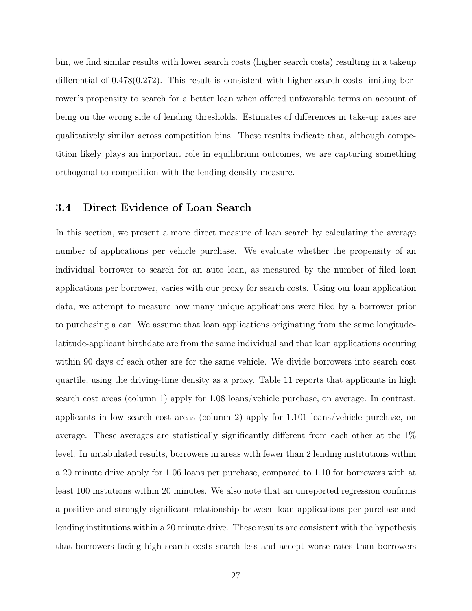bin, we find similar results with lower search costs (higher search costs) resulting in a takeup differential of 0.478(0.272). This result is consistent with higher search costs limiting borrower's propensity to search for a better loan when offered unfavorable terms on account of being on the wrong side of lending thresholds. Estimates of differences in take-up rates are qualitatively similar across competition bins. These results indicate that, although competition likely plays an important role in equilibrium outcomes, we are capturing something orthogonal to competition with the lending density measure.

### 3.4 Direct Evidence of Loan Search

In this section, we present a more direct measure of loan search by calculating the average number of applications per vehicle purchase. We evaluate whether the propensity of an individual borrower to search for an auto loan, as measured by the number of filed loan applications per borrower, varies with our proxy for search costs. Using our loan application data, we attempt to measure how many unique applications were filed by a borrower prior to purchasing a car. We assume that loan applications originating from the same longitudelatitude-applicant birthdate are from the same individual and that loan applications occuring within 90 days of each other are for the same vehicle. We divide borrowers into search cost quartile, using the driving-time density as a proxy. Table 11 reports that applicants in high search cost areas (column 1) apply for 1.08 loans/vehicle purchase, on average. In contrast, applicants in low search cost areas (column 2) apply for 1.101 loans/vehicle purchase, on average. These averages are statistically significantly different from each other at the 1% level. In untabulated results, borrowers in areas with fewer than 2 lending institutions within a 20 minute drive apply for 1.06 loans per purchase, compared to 1.10 for borrowers with at least 100 instutions within 20 minutes. We also note that an unreported regression confirms a positive and strongly significant relationship between loan applications per purchase and lending institutions within a 20 minute drive. These results are consistent with the hypothesis that borrowers facing high search costs search less and accept worse rates than borrowers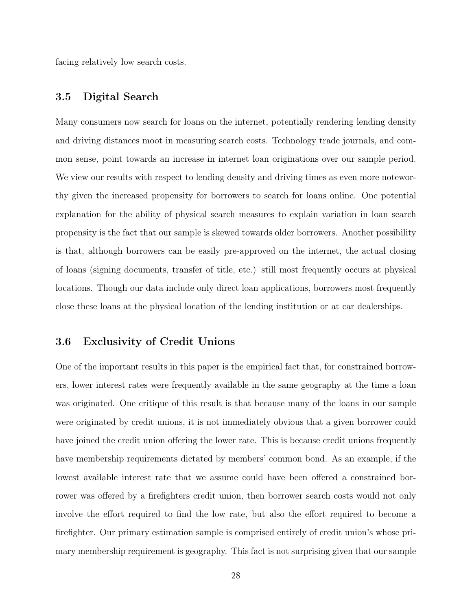facing relatively low search costs.

### 3.5 Digital Search

Many consumers now search for loans on the internet, potentially rendering lending density and driving distances moot in measuring search costs. Technology trade journals, and common sense, point towards an increase in internet loan originations over our sample period. We view our results with respect to lending density and driving times as even more noteworthy given the increased propensity for borrowers to search for loans online. One potential explanation for the ability of physical search measures to explain variation in loan search propensity is the fact that our sample is skewed towards older borrowers. Another possibility is that, although borrowers can be easily pre-approved on the internet, the actual closing of loans (signing documents, transfer of title, etc.) still most frequently occurs at physical locations. Though our data include only direct loan applications, borrowers most frequently close these loans at the physical location of the lending institution or at car dealerships.

#### 3.6 Exclusivity of Credit Unions

One of the important results in this paper is the empirical fact that, for constrained borrowers, lower interest rates were frequently available in the same geography at the time a loan was originated. One critique of this result is that because many of the loans in our sample were originated by credit unions, it is not immediately obvious that a given borrower could have joined the credit union offering the lower rate. This is because credit unions frequently have membership requirements dictated by members' common bond. As an example, if the lowest available interest rate that we assume could have been offered a constrained borrower was offered by a firefighters credit union, then borrower search costs would not only involve the effort required to find the low rate, but also the effort required to become a firefighter. Our primary estimation sample is comprised entirely of credit union's whose primary membership requirement is geography. This fact is not surprising given that our sample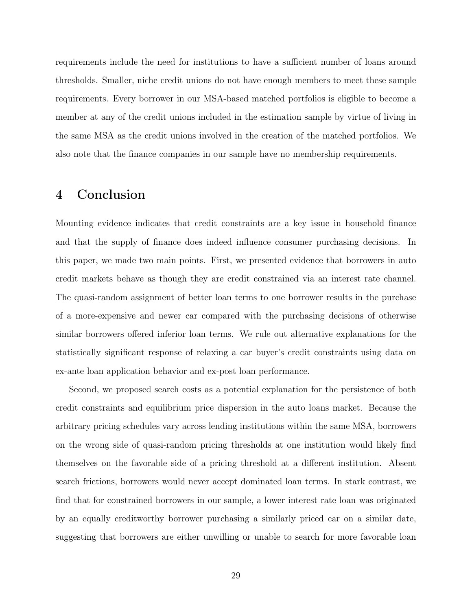requirements include the need for institutions to have a sufficient number of loans around thresholds. Smaller, niche credit unions do not have enough members to meet these sample requirements. Every borrower in our MSA-based matched portfolios is eligible to become a member at any of the credit unions included in the estimation sample by virtue of living in the same MSA as the credit unions involved in the creation of the matched portfolios. We also note that the finance companies in our sample have no membership requirements.

## 4 Conclusion

Mounting evidence indicates that credit constraints are a key issue in household finance and that the supply of finance does indeed influence consumer purchasing decisions. In this paper, we made two main points. First, we presented evidence that borrowers in auto credit markets behave as though they are credit constrained via an interest rate channel. The quasi-random assignment of better loan terms to one borrower results in the purchase of a more-expensive and newer car compared with the purchasing decisions of otherwise similar borrowers offered inferior loan terms. We rule out alternative explanations for the statistically significant response of relaxing a car buyer's credit constraints using data on ex-ante loan application behavior and ex-post loan performance.

Second, we proposed search costs as a potential explanation for the persistence of both credit constraints and equilibrium price dispersion in the auto loans market. Because the arbitrary pricing schedules vary across lending institutions within the same MSA, borrowers on the wrong side of quasi-random pricing thresholds at one institution would likely find themselves on the favorable side of a pricing threshold at a different institution. Absent search frictions, borrowers would never accept dominated loan terms. In stark contrast, we find that for constrained borrowers in our sample, a lower interest rate loan was originated by an equally creditworthy borrower purchasing a similarly priced car on a similar date, suggesting that borrowers are either unwilling or unable to search for more favorable loan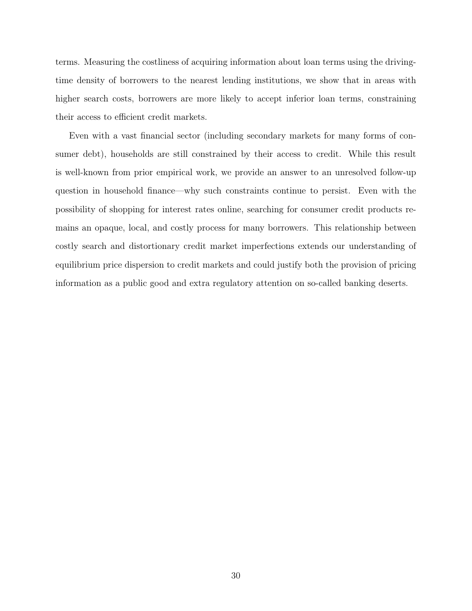terms. Measuring the costliness of acquiring information about loan terms using the drivingtime density of borrowers to the nearest lending institutions, we show that in areas with higher search costs, borrowers are more likely to accept inferior loan terms, constraining their access to efficient credit markets.

Even with a vast financial sector (including secondary markets for many forms of consumer debt), households are still constrained by their access to credit. While this result is well-known from prior empirical work, we provide an answer to an unresolved follow-up question in household finance—why such constraints continue to persist. Even with the possibility of shopping for interest rates online, searching for consumer credit products remains an opaque, local, and costly process for many borrowers. This relationship between costly search and distortionary credit market imperfections extends our understanding of equilibrium price dispersion to credit markets and could justify both the provision of pricing information as a public good and extra regulatory attention on so-called banking deserts.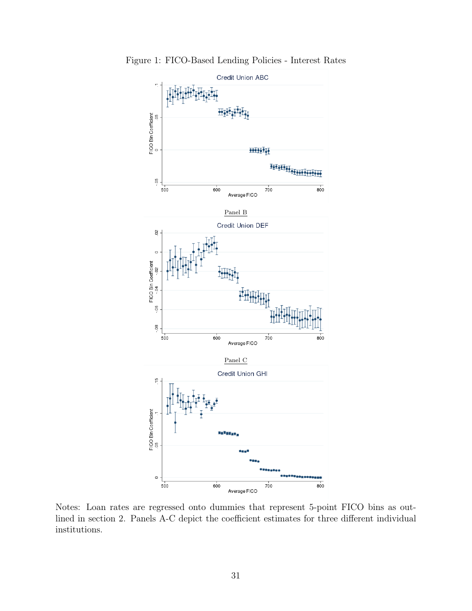

Figure 1: FICO-Based Lending Policies - Interest Rates

Notes: Loan rates are regressed onto dummies that represent 5-point FICO bins as outlined in section 2. Panels A-C depict the coefficient estimates for three different individual institutions.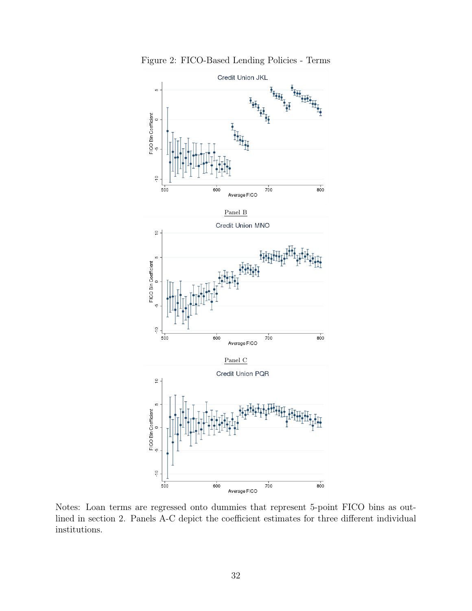

Figure 2: FICO-Based Lending Policies - Terms

Notes: Loan terms are regressed onto dummies that represent 5-point FICO bins as outlined in section 2. Panels A-C depict the coefficient estimates for three different individual institutions.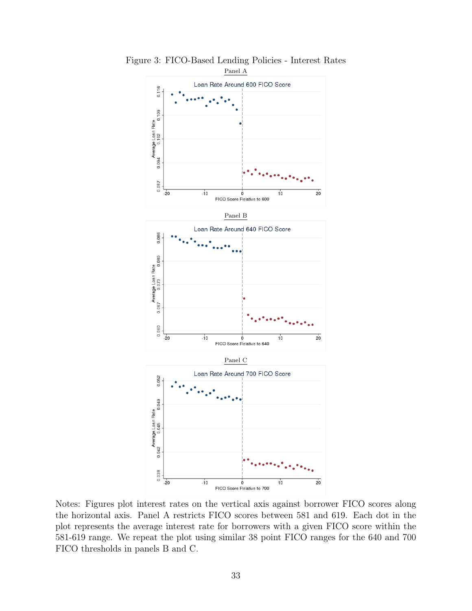

Figure 3: FICO-Based Lending Policies - Interest Rates

Notes: Figures plot interest rates on the vertical axis against borrower FICO scores along the horizontal axis. Panel A restricts FICO scores between 581 and 619. Each dot in the plot represents the average interest rate for borrowers with a given FICO score within the 581-619 range. We repeat the plot using similar 38 point FICO ranges for the 640 and 700 FICO thresholds in panels B and C.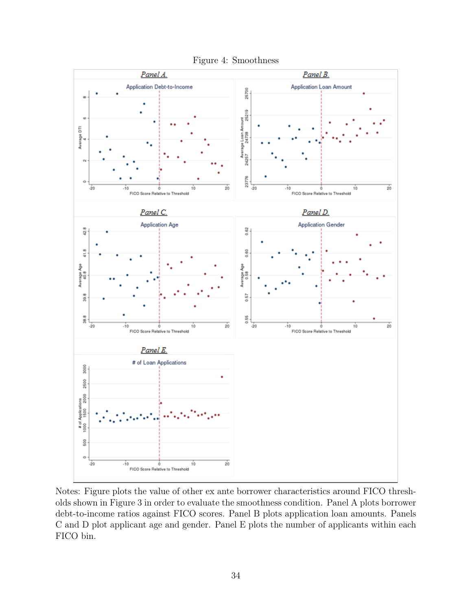

Notes: Figure plots the value of other ex ante borrower characteristics around FICO thresholds shown in Figure 3 in order to evaluate the smoothness condition. Panel A plots borrower debt-to-income ratios against FICO scores. Panel B plots application loan amounts. Panels C and D plot applicant age and gender. Panel E plots the number of applicants within each FICO bin.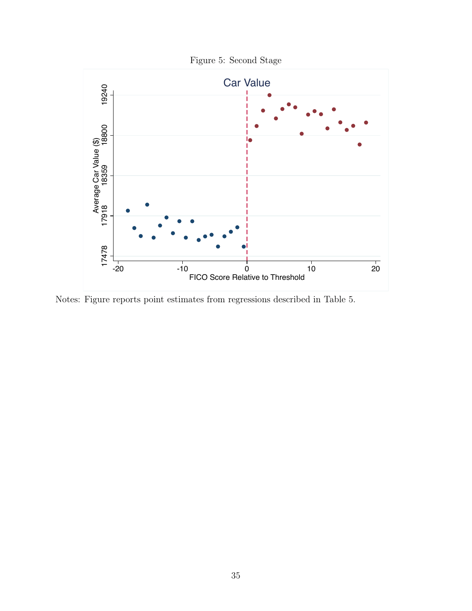

Notes: Figure reports point estimates from regressions described in Table 5.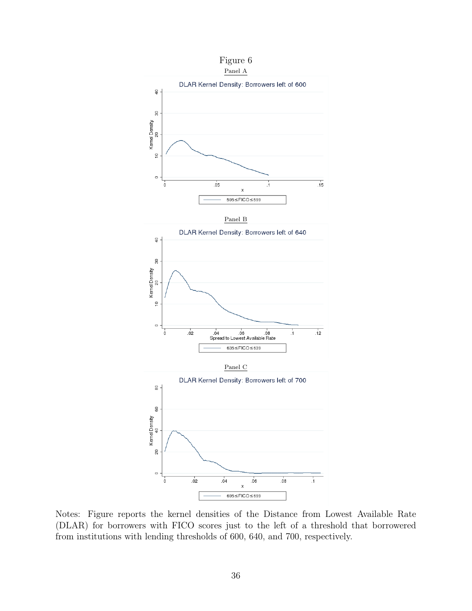

Notes: Figure reports the kernel densities of the Distance from Lowest Available Rate (DLAR) for borrowers with FICO scores just to the left of a threshold that borrowered from institutions with lending thresholds of 600, 640, and 700, respectively.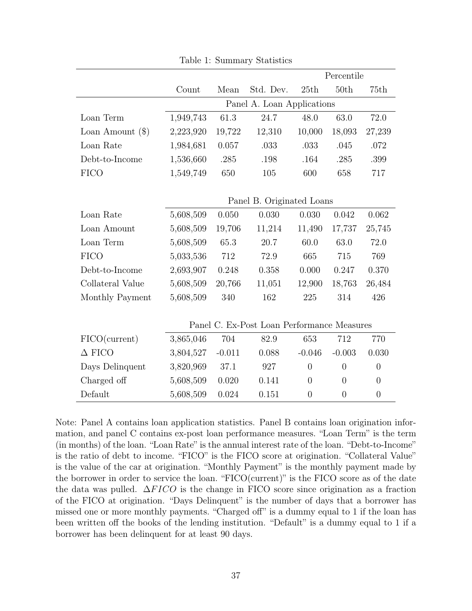|                    |                            |          |                                            |                | Percentile     |                |
|--------------------|----------------------------|----------|--------------------------------------------|----------------|----------------|----------------|
|                    | Count                      | Mean     | Std. Dev.                                  | 25th           | 50th           | 75th           |
|                    | Panel A. Loan Applications |          |                                            |                |                |                |
| Loan Term          | 1,949,743                  | 61.3     | 24.7                                       | 48.0           | 63.0           | 72.0           |
| Loan Amount $(\$)$ | 2,223,920                  | 19,722   | 12,310                                     | 10,000         | 18,093         | 27,239         |
| Loan Rate          | 1,984,681                  | 0.057    | .033                                       | .033           | .045           | .072           |
| Debt-to-Income     | 1,536,660                  | .285     | .198                                       | .164           | .285           | .399           |
| <b>FICO</b>        | 1,549,749                  | 650      | 105                                        | 600            | 658            | 717            |
|                    |                            |          |                                            |                |                |                |
|                    |                            |          | Panel B. Originated Loans                  |                |                |                |
| Loan Rate          | 5,608,509                  | 0.050    | 0.030                                      | 0.030          | 0.042          | 0.062          |
| Loan Amount        | 5,608,509                  | 19,706   | 11,214                                     | 11,490         | 17,737         | 25,745         |
| Loan Term          | 5,608,509                  | 65.3     | 20.7                                       | 60.0           | 63.0           | 72.0           |
| <b>FICO</b>        | 5,033,536                  | 712      | 72.9                                       | 665            | 715            | 769            |
| Debt-to-Income     | 2,693,907                  | 0.248    | 0.358                                      | 0.000          | 0.247          | 0.370          |
| Collateral Value   | 5,608,509                  | 20,766   | 11,051                                     | 12,900         | 18,763         | 26,484         |
| Monthly Payment    | 5,608,509                  | 340      | 162                                        | 225            | 314            | 426            |
|                    |                            |          |                                            |                |                |                |
|                    |                            |          | Panel C. Ex-Post Loan Performance Measures |                |                |                |
| FICO(current)      | 3,865,046                  | 704      | 82.9                                       | 653            | 712            | 770            |
| $\Delta$ FICO      | 3,804,527                  | $-0.011$ | 0.088                                      | $-0.046$       | $-0.003$       | 0.030          |
| Days Delinquent    | 3,820,969                  | 37.1     | 927                                        | $\overline{0}$ | $\overline{0}$ | $\overline{0}$ |
| Charged off        | 5,608,509                  | 0.020    | 0.141                                      | $\overline{0}$ | $\overline{0}$ | $\overline{0}$ |
| Default            | 5,608,509                  | 0.024    | 0.151                                      | $\theta$       | $\overline{0}$ | $\theta$       |

Table 1: Summary Statistics

Note: Panel A contains loan application statistics. Panel B contains loan origination information, and panel C contains ex-post loan performance measures. "Loan Term" is the term (in months) of the loan. "Loan Rate" is the annual interest rate of the loan. "Debt-to-Income" is the ratio of debt to income. "FICO" is the FICO score at origination. "Collateral Value" is the value of the car at origination. "Monthly Payment" is the monthly payment made by the borrower in order to service the loan. "FICO(current)" is the FICO score as of the date the data was pulled.  $\Delta F I C O$  is the change in FICO score since origination as a fraction of the FICO at origination. "Days Delinquent" is the number of days that a borrower has missed one or more monthly payments. "Charged off" is a dummy equal to 1 if the loan has been written off the books of the lending institution. "Default" is a dummy equal to 1 if a borrower has been delinquent for at least 90 days.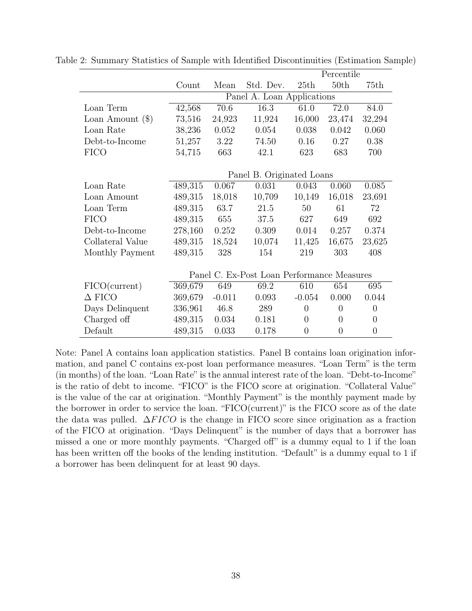|                    |         |                            |                                            |                | Percentile     |                |
|--------------------|---------|----------------------------|--------------------------------------------|----------------|----------------|----------------|
|                    | Count   | Mean                       | Std. Dev.                                  | 25th           | 50th           | 75th           |
|                    |         | Panel A. Loan Applications |                                            |                |                |                |
| Loan Term          | 42,568  | 70.6                       | 16.3                                       | 61.0           | 72.0           | 84.0           |
| Loan Amount $(\$)$ | 73,516  | 24,923                     | 11,924                                     | 16,000         | 23,474         | 32,294         |
| Loan Rate          | 38,236  | 0.052                      | 0.054                                      | 0.038          | 0.042          | 0.060          |
| Debt-to-Income     | 51,257  | 3.22                       | 74.50                                      | 0.16           | 0.27           | 0.38           |
| <b>FICO</b>        | 54,715  | 663                        | 42.1                                       | 623            | 683            | 700            |
|                    |         |                            |                                            |                |                |                |
|                    |         |                            | Panel B. Originated Loans                  |                |                |                |
| Loan Rate          | 489,315 | 0.067                      | 0.031                                      | 0.043          | 0.060          | 0.085          |
| Loan Amount        | 489,315 | 18,018                     | 10,709                                     | 10,149         | 16,018         | 23,691         |
| Loan Term          | 489,315 | 63.7                       | 21.5                                       | 50             | 61             | 72             |
| <b>FICO</b>        | 489,315 | 655                        | 37.5                                       | 627            | 649            | 692            |
| Debt-to-Income     | 278,160 | 0.252                      | 0.309                                      | 0.014          | 0.257          | 0.374          |
| Collateral Value   | 489,315 | 18,524                     | 10,074                                     | 11,425         | 16,675         | 23,625         |
| Monthly Payment    | 489,315 | 328                        | 154                                        | 219            | 303            | 408            |
|                    |         |                            |                                            |                |                |                |
|                    |         |                            | Panel C. Ex-Post Loan Performance Measures |                |                |                |
| FICO(current)      | 369,679 | 649                        | 69.2                                       | 610            | 654            | 695            |
| $\Delta$ FICO      | 369,679 | $-0.011$                   | 0.093                                      | $-0.054$       | 0.000          | 0.044          |
| Days Delinquent    | 336,961 | 46.8                       | 289                                        | $\theta$       | $\overline{0}$ | $\overline{0}$ |
| Charged off        | 489,315 | 0.034                      | 0.181                                      | $\overline{0}$ | $\overline{0}$ | $\theta$       |
| Default            | 489,315 | 0.033                      | 0.178                                      | $\overline{0}$ | $\overline{0}$ | $\overline{0}$ |

Table 2: Summary Statistics of Sample with Identified Discontinuities (Estimation Sample)

Note: Panel A contains loan application statistics. Panel B contains loan origination information, and panel C contains ex-post loan performance measures. "Loan Term" is the term (in months) of the loan. "Loan Rate" is the annual interest rate of the loan. "Debt-to-Income" is the ratio of debt to income. "FICO" is the FICO score at origination. "Collateral Value" is the value of the car at origination. "Monthly Payment" is the monthly payment made by the borrower in order to service the loan. "FICO(current)" is the FICO score as of the date the data was pulled.  $\Delta FICO$  is the change in FICO score since origination as a fraction of the FICO at origination. "Days Delinquent" is the number of days that a borrower has missed a one or more monthly payments. "Charged off" is a dummy equal to 1 if the loan has been written off the books of the lending institution. "Default" is a dummy equal to 1 if a borrower has been delinquent for at least 90 days.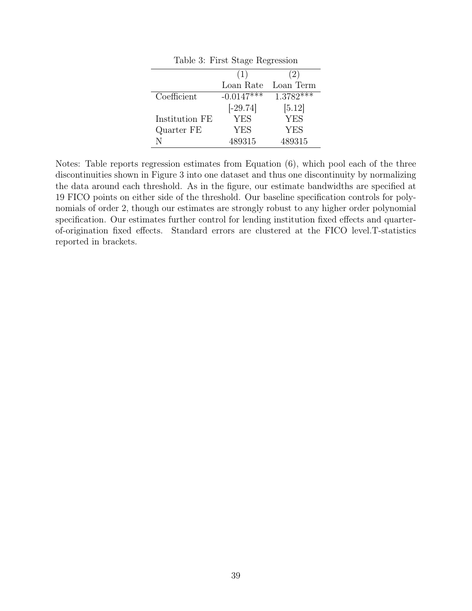| Table 3: First Stage Regression |              |             |  |  |  |
|---------------------------------|--------------|-------------|--|--|--|
|                                 | (1)          | (2)         |  |  |  |
|                                 | Loan Rate    | Loan Term   |  |  |  |
| Coefficient                     | $-0.0147***$ | $1.3782***$ |  |  |  |
|                                 | $[-29.74]$   | [5.12]      |  |  |  |
| Institution FE                  | <b>YES</b>   | <b>YES</b>  |  |  |  |
| Quarter FE                      | YES          | <b>YES</b>  |  |  |  |
|                                 | 489315       | 489315      |  |  |  |

Notes: Table reports regression estimates from Equation (6), which pool each of the three discontinuities shown in Figure 3 into one dataset and thus one discontinuity by normalizing the data around each threshold. As in the figure, our estimate bandwidths are specified at 19 FICO points on either side of the threshold. Our baseline specification controls for polynomials of order 2, though our estimates are strongly robust to any higher order polynomial specification. Our estimates further control for lending institution fixed effects and quarterof-origination fixed effects. Standard errors are clustered at the FICO level.T-statistics reported in brackets.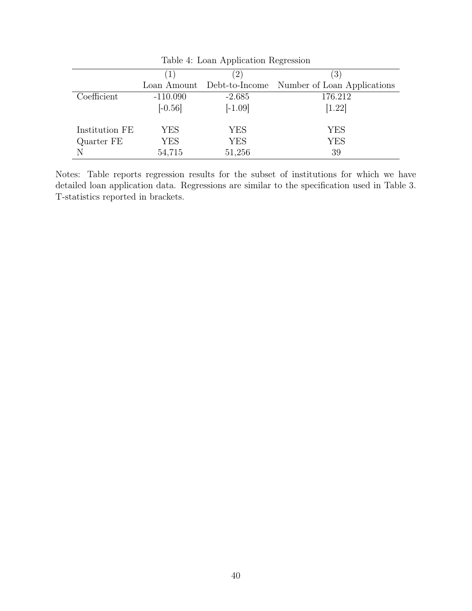|                | rable 1. Hoan <i>hipplication</i> hegicosion |                  |                             |  |  |  |
|----------------|----------------------------------------------|------------------|-----------------------------|--|--|--|
|                | $ 1\rangle$                                  | $\left(2\right)$ | $\left(3\right)$            |  |  |  |
|                | Loan Amount                                  | Debt-to-Income   | Number of Loan Applications |  |  |  |
| Coefficient    | $-110.090$                                   | $-2.685$         | 176.212                     |  |  |  |
|                | $[-0.56]$                                    | $[-1.09]$        | [1.22]                      |  |  |  |
| Institution FE | YES                                          | YES              | YES                         |  |  |  |
| Quarter FE     | YES                                          | YES              | <b>YES</b>                  |  |  |  |
| N              | 54,715                                       | 51,256           | 39                          |  |  |  |

Table 4: Loan Application Regression

Notes: Table reports regression results for the subset of institutions for which we have detailed loan application data. Regressions are similar to the specification used in Table 3. T-statistics reported in brackets.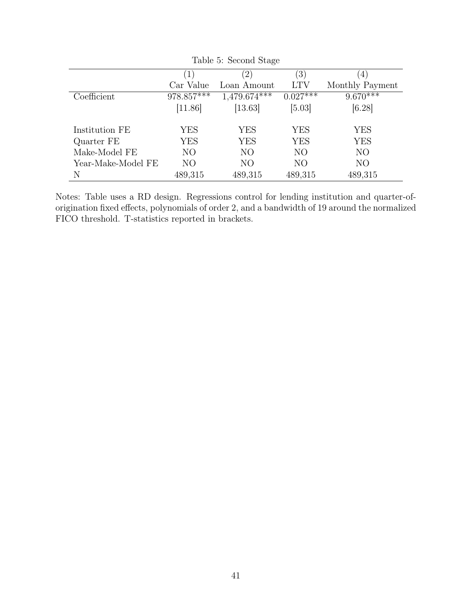| Table 5: Second Stage |                   |                |            |                 |  |  |
|-----------------------|-------------------|----------------|------------|-----------------|--|--|
|                       | $\left( 1\right)$ | (4)            |            |                 |  |  |
|                       | Car Value         | Loan Amount    | <b>LTV</b> | Monthly Payment |  |  |
| Coefficient           | $978.857***$      | $1,479.674***$ | $0.027***$ | $9.670***$      |  |  |
|                       | [11.86]           | [13.63]        | [5.03]     | [6.28]          |  |  |
|                       |                   |                |            |                 |  |  |
| Institution FE        | <b>YES</b>        | YES            | <b>YES</b> | <b>YES</b>      |  |  |
| Quarter FE            | YES               | <b>YES</b>     | YES        | <b>YES</b>      |  |  |
| Make-Model FE         | N <sub>O</sub>    | NO             | NO         | N <sub>O</sub>  |  |  |
| Year-Make-Model FE    | NO.               | NО             | NO         | NO              |  |  |
| N                     | 489,315           | 489,315        | 489,315    | 489,315         |  |  |

Notes: Table uses a RD design. Regressions control for lending institution and quarter-oforigination fixed effects, polynomials of order 2, and a bandwidth of 19 around the normalized FICO threshold. T-statistics reported in brackets.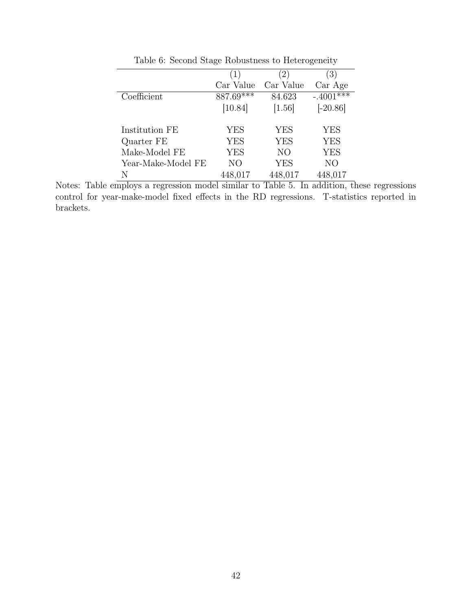|                    | (1)       | $\left(2\right)$ | (3)          |
|--------------------|-----------|------------------|--------------|
|                    | Car Value | Car Value        | Car Age      |
| Coefficient        | 887.69*** | 84.623           | $-.4001$ *** |
|                    | [10.84]   | [1.56]           | $[-20.86]$   |
|                    |           |                  |              |
| Institution FE     | YES       | <b>YES</b>       | YES          |
| Quarter FE         | YES       | <b>YES</b>       | <b>YES</b>   |
| Make-Model FE      | YES       | NO               | <b>YES</b>   |
| Year-Make-Model FE | NO        | <b>YES</b>       | NO           |
| N                  | 448,017   | 448,017          | 448,017      |

Table 6: Second Stage Robustness to Heterogeneity

Notes: Table employs a regression model similar to Table 5. In addition, these regressions control for year-make-model fixed effects in the RD regressions. T-statistics reported in brackets.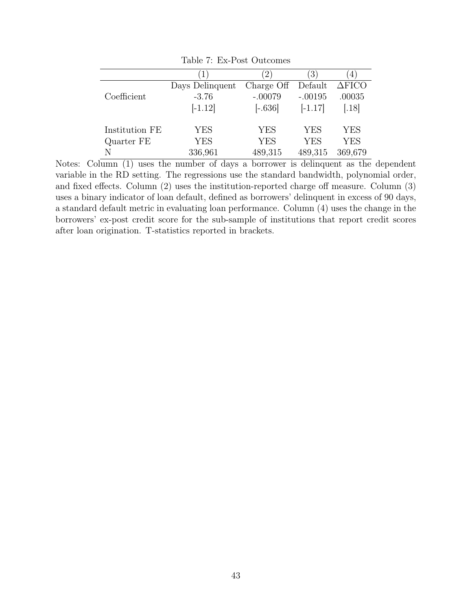|                | $\perp$         | $\left(2\right)$ | $\left(3\right)$ | 4                |
|----------------|-----------------|------------------|------------------|------------------|
|                | Days Delinquent | Charge Off       | Default          | $\triangle FICO$ |
| Coefficient    | $-3.76$         | $-.00079$        | $-.00195$        | .00035           |
|                | $[-1.12]$       | $[-.636]$        | $[-1.17]$        | [.18]            |
| Institution FE | YES             | <b>YES</b>       | <b>YES</b>       | <b>YES</b>       |
| Quarter FE     | YES             | <b>YES</b>       | <b>YES</b>       | <b>YES</b>       |
|                | 336,961         | 489,315          | 489,315          | 369,679          |

Table 7: Ex-Post Outcomes

Notes: Column (1) uses the number of days a borrower is delinquent as the dependent variable in the RD setting. The regressions use the standard bandwidth, polynomial order, and fixed effects. Column (2) uses the institution-reported charge off measure. Column (3) uses a binary indicator of loan default, defined as borrowers' delinquent in excess of 90 days, a standard default metric in evaluating loan performance. Column (4) uses the change in the borrowers' ex-post credit score for the sub-sample of institutions that report credit scores after loan origination. T-statistics reported in brackets.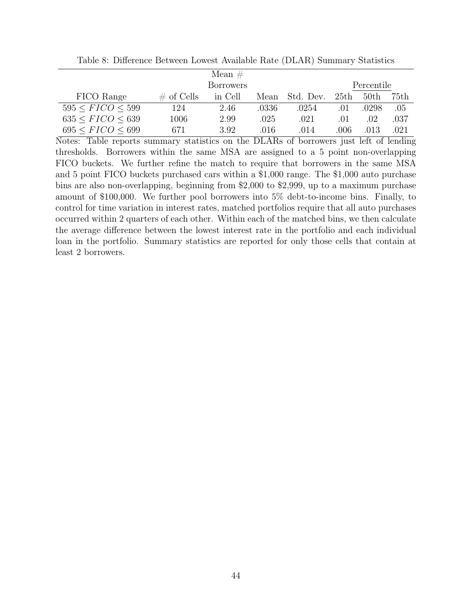|                          |               | Mean $#$         |       |           |      |                  |      |
|--------------------------|---------------|------------------|-------|-----------|------|------------------|------|
|                          |               | <b>Borrowers</b> |       |           |      | Percentile       |      |
| FICO Range               | $\#$ of Cells | in Cell          | Mean  | Std. Dev. | 25th | 50 <sub>th</sub> | 75th |
| 595 < FICO < 599         | 124           | 2.46             | .0336 | .0254     | .01  | .0298            | .05  |
| 635 < FICO < 639         | 1006          | 2.99             | .025  | .021      | .01  | .02              | .037 |
| $695 \leq FICO \leq 699$ | 671           | 3.92             | .016  | .014      | .006 | .013             | .021 |

Table 8: Difference Between Lowest Available Rate (DLAR) Summary Statistics

Notes: Table reports summary statistics on the DLARs of borrowers just left of lending thresholds. Borrowers within the same MSA are assigned to a 5 point non-overlapping FICO buckets. We further refine the match to require that borrowers in the same MSA and 5 point FICO buckets purchased cars within a \$1,000 range. The \$1,000 auto purchase bins are also non-overlapping, beginning from \$2,000 to \$2,999, up to a maximum purchase amount of \$100,000. We further pool borrowers into 5% debt-to-income bins. Finally, to control for time variation in interest rates, matched portfolios require that all auto purchases occurred within 2 quarters of each other. Within each of the matched bins, we then calculate the average difference between the lowest interest rate in the portfolio and each individual loan in the portfolio. Summary statistics are reported for only those cells that contain at least 2 borrowers.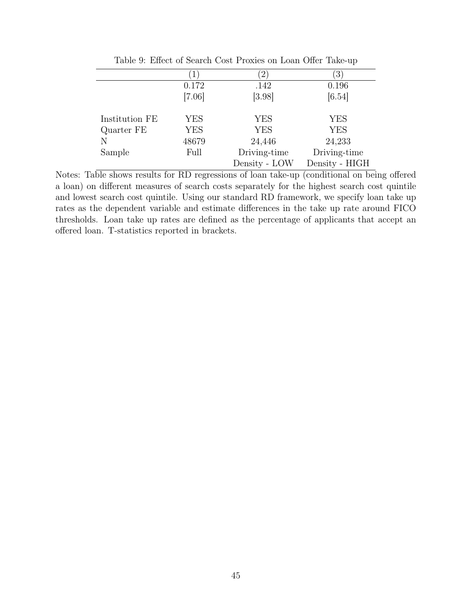|                | $\perp$    | $\overline{2}$ | $\left 3\right\rangle$ |
|----------------|------------|----------------|------------------------|
|                | 0.172      | .142           | 0.196                  |
|                | [7.06]     | [3.98]         | [6.54]                 |
| Institution FE | <b>YES</b> | <b>YES</b>     | YES                    |
| Quarter FE     | <b>YES</b> | <b>YES</b>     | <b>YES</b>             |
| N              | 48679      | 24,446         | 24,233                 |
| Sample         | Full       | Driving-time   | Driving-time           |
|                |            | Density - LOW  | Density - HIGH         |

Table 9: Effect of Search Cost Proxies on Loan Offer Take-up

Notes: Table shows results for RD regressions of loan take-up (conditional on being offered a loan) on different measures of search costs separately for the highest search cost quintile and lowest search cost quintile. Using our standard RD framework, we specify loan take up rates as the dependent variable and estimate differences in the take up rate around FICO thresholds. Loan take up rates are defined as the percentage of applicants that accept an offered loan. T-statistics reported in brackets.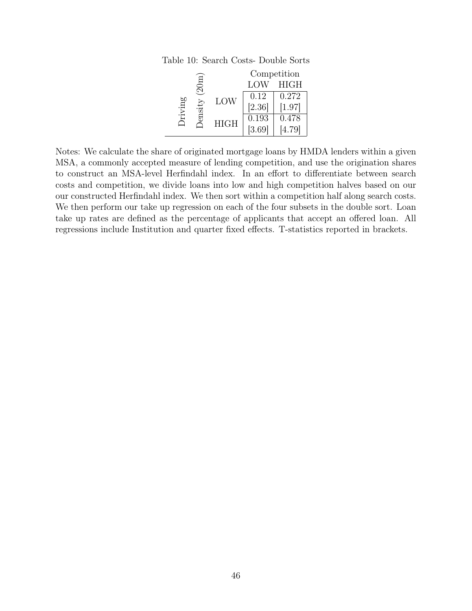|        |         |             |        | Competition |
|--------|---------|-------------|--------|-------------|
|        | $20\pi$ |             | LOW    | <b>HIGH</b> |
|        | LOW     | 0.12        | 0.272  |             |
| riving |         |             | [2.36] | [1.97]      |
| ensit  |         | 0.193       | 0.478  |             |
|        |         | <b>HIGH</b> | [3.69] | [4.79]      |

 $\overline{\phantom{0}}$ 

Table 10: Search Costs- Double Sorts

Notes: We calculate the share of originated mortgage loans by HMDA lenders within a given MSA, a commonly accepted measure of lending competition, and use the origination shares to construct an MSA-level Herfindahl index. In an effort to differentiate between search costs and competition, we divide loans into low and high competition halves based on our our constructed Herfindahl index. We then sort within a competition half along search costs. We then perform our take up regression on each of the four subsets in the double sort. Loan take up rates are defined as the percentage of applicants that accept an offered loan. All regressions include Institution and quarter fixed effects. T-statistics reported in brackets.